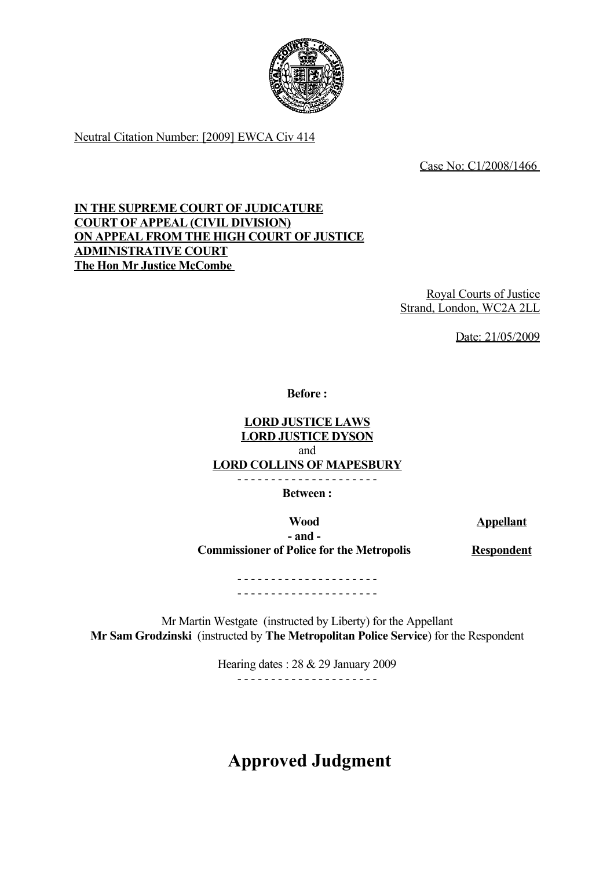

Neutral Citation Number: [2009] EWCA Civ 414

Case No: C1/2008/1466

### **IN THE SUPREME COURT OF JUDICATURE COURT OF APPEAL (CIVIL DIVISION) ON APPEAL FROM THE HIGH COURT OF JUSTICE ADMINISTRATIVE COURT The Hon Mr Justice McCombe**

Royal Courts of Justice Strand, London, WC2A 2LL

Date: 21/05/2009

**Before :**

### **LORD JUSTICE LAWS LORD JUSTICE DYSON** and **LORD COLLINS OF MAPESBURY**

- - - - - - - - - - - - - - - - - - - - -

**Between :**

**- and -**

**Wood Appellant**

**Commissioner of Police for the Metropolis Respondent** 

- - - - - - - - - - - - - - - - - - - - - - - - - - - - - - - - - - - - - - - - - -

Mr Martin Westgate (instructed by Liberty) for the Appellant **Mr Sam Grodzinski** (instructed by **The Metropolitan Police Service**) for the Respondent

> Hearing dates : 28 & 29 January 2009 - - - - - - - - - - - - - - - - - - - - -

 **Approved Judgment**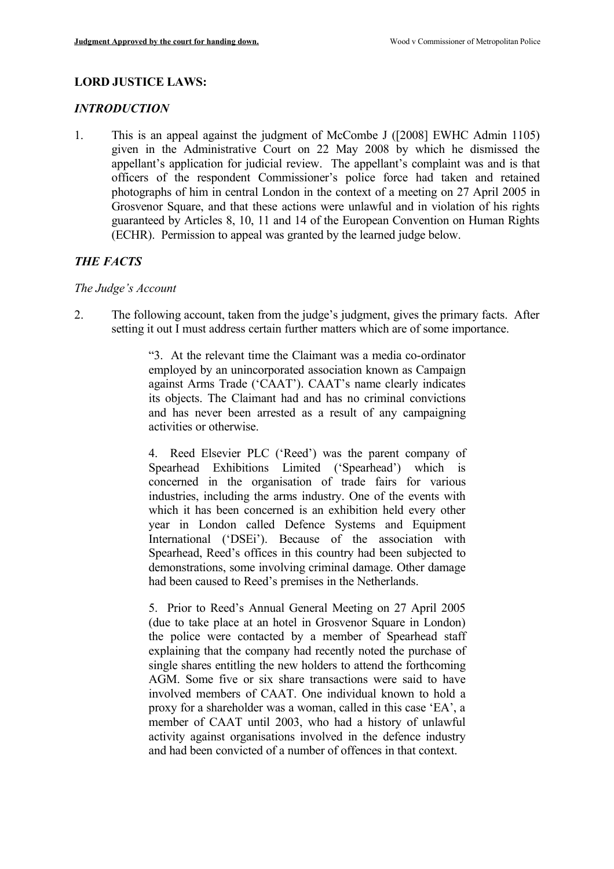#### **LORD JUSTICE LAWS:**

#### *INTRODUCTION*

1. This is an appeal against the judgment of McCombe J ([2008] EWHC Admin 1105) given in the Administrative Court on 22 May 2008 by which he dismissed the appellant's application for judicial review. The appellant's complaint was and is that officers of the respondent Commissioner's police force had taken and retained photographs of him in central London in the context of a meeting on 27 April 2005 in Grosvenor Square, and that these actions were unlawful and in violation of his rights guaranteed by Articles 8, 10, 11 and 14 of the European Convention on Human Rights (ECHR). Permission to appeal was granted by the learned judge below.

### *THE FACTS*

#### *The Judge's Account*

2. The following account, taken from the judge's judgment, gives the primary facts. After setting it out I must address certain further matters which are of some importance.

> "3. At the relevant time the Claimant was a media co-ordinator employed by an unincorporated association known as Campaign against Arms Trade ('CAAT'). CAAT's name clearly indicates its objects. The Claimant had and has no criminal convictions and has never been arrested as a result of any campaigning activities or otherwise.

> 4. Reed Elsevier PLC ('Reed') was the parent company of Spearhead Exhibitions Limited ('Spearhead') which is concerned in the organisation of trade fairs for various industries, including the arms industry. One of the events with which it has been concerned is an exhibition held every other year in London called Defence Systems and Equipment International ('DSEi'). Because of the association with Spearhead, Reed's offices in this country had been subjected to demonstrations, some involving criminal damage. Other damage had been caused to Reed's premises in the Netherlands.

> 5. Prior to Reed's Annual General Meeting on 27 April 2005 (due to take place at an hotel in Grosvenor Square in London) the police were contacted by a member of Spearhead staff explaining that the company had recently noted the purchase of single shares entitling the new holders to attend the forthcoming AGM. Some five or six share transactions were said to have involved members of CAAT. One individual known to hold a proxy for a shareholder was a woman, called in this case 'EA', a member of CAAT until 2003, who had a history of unlawful activity against organisations involved in the defence industry and had been convicted of a number of offences in that context.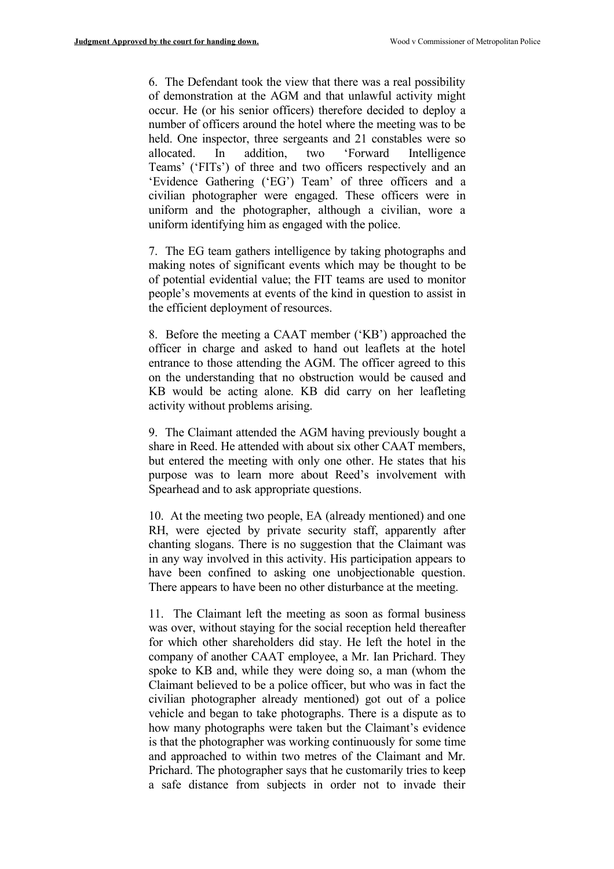6. The Defendant took the view that there was a real possibility of demonstration at the AGM and that unlawful activity might occur. He (or his senior officers) therefore decided to deploy a number of officers around the hotel where the meeting was to be held. One inspector, three sergeants and 21 constables were so allocated. In addition, two 'Forward Intelligence Teams' ('FITs') of three and two officers respectively and an 'Evidence Gathering ('EG') Team' of three officers and a civilian photographer were engaged. These officers were in uniform and the photographer, although a civilian, wore a uniform identifying him as engaged with the police.

7. The EG team gathers intelligence by taking photographs and making notes of significant events which may be thought to be of potential evidential value; the FIT teams are used to monitor people's movements at events of the kind in question to assist in the efficient deployment of resources.

8. Before the meeting a CAAT member ('KB') approached the officer in charge and asked to hand out leaflets at the hotel entrance to those attending the AGM. The officer agreed to this on the understanding that no obstruction would be caused and KB would be acting alone. KB did carry on her leafleting activity without problems arising.

9. The Claimant attended the AGM having previously bought a share in Reed. He attended with about six other CAAT members, but entered the meeting with only one other. He states that his purpose was to learn more about Reed's involvement with Spearhead and to ask appropriate questions.

10. At the meeting two people, EA (already mentioned) and one RH, were ejected by private security staff, apparently after chanting slogans. There is no suggestion that the Claimant was in any way involved in this activity. His participation appears to have been confined to asking one unobjectionable question. There appears to have been no other disturbance at the meeting.

11. The Claimant left the meeting as soon as formal business was over, without staying for the social reception held thereafter for which other shareholders did stay. He left the hotel in the company of another CAAT employee, a Mr. Ian Prichard. They spoke to KB and, while they were doing so, a man (whom the Claimant believed to be a police officer, but who was in fact the civilian photographer already mentioned) got out of a police vehicle and began to take photographs. There is a dispute as to how many photographs were taken but the Claimant's evidence is that the photographer was working continuously for some time and approached to within two metres of the Claimant and Mr. Prichard. The photographer says that he customarily tries to keep a safe distance from subjects in order not to invade their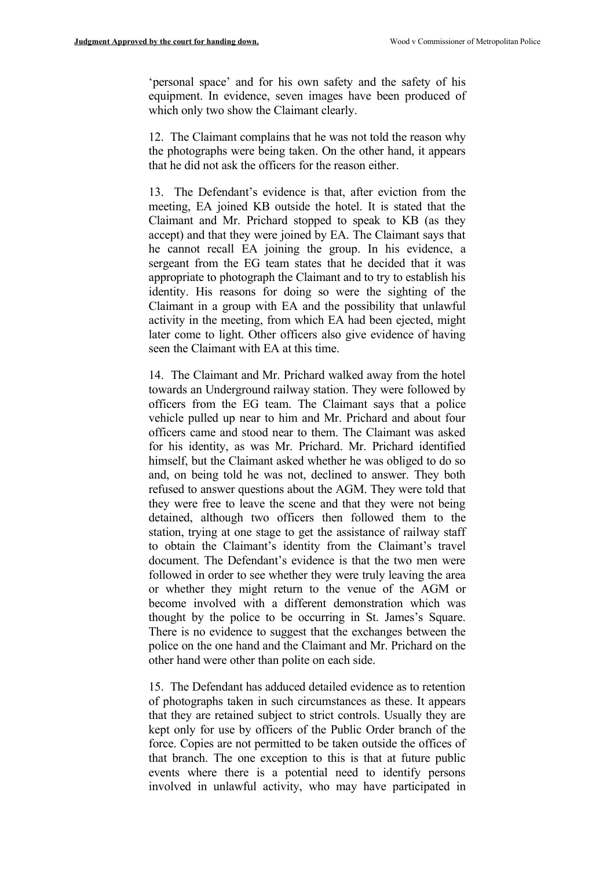'personal space' and for his own safety and the safety of his equipment. In evidence, seven images have been produced of which only two show the Claimant clearly.

12. The Claimant complains that he was not told the reason why the photographs were being taken. On the other hand, it appears that he did not ask the officers for the reason either.

13. The Defendant's evidence is that, after eviction from the meeting, EA joined KB outside the hotel. It is stated that the Claimant and Mr. Prichard stopped to speak to KB (as they accept) and that they were joined by EA. The Claimant says that he cannot recall EA joining the group. In his evidence, a sergeant from the EG team states that he decided that it was appropriate to photograph the Claimant and to try to establish his identity. His reasons for doing so were the sighting of the Claimant in a group with EA and the possibility that unlawful activity in the meeting, from which EA had been ejected, might later come to light. Other officers also give evidence of having seen the Claimant with EA at this time.

14. The Claimant and Mr. Prichard walked away from the hotel towards an Underground railway station. They were followed by officers from the EG team. The Claimant says that a police vehicle pulled up near to him and Mr. Prichard and about four officers came and stood near to them. The Claimant was asked for his identity, as was Mr. Prichard. Mr. Prichard identified himself, but the Claimant asked whether he was obliged to do so and, on being told he was not, declined to answer. They both refused to answer questions about the AGM. They were told that they were free to leave the scene and that they were not being detained, although two officers then followed them to the station, trying at one stage to get the assistance of railway staff to obtain the Claimant's identity from the Claimant's travel document. The Defendant's evidence is that the two men were followed in order to see whether they were truly leaving the area or whether they might return to the venue of the AGM or become involved with a different demonstration which was thought by the police to be occurring in St. James's Square. There is no evidence to suggest that the exchanges between the police on the one hand and the Claimant and Mr. Prichard on the other hand were other than polite on each side.

15. The Defendant has adduced detailed evidence as to retention of photographs taken in such circumstances as these. It appears that they are retained subject to strict controls. Usually they are kept only for use by officers of the Public Order branch of the force. Copies are not permitted to be taken outside the offices of that branch. The one exception to this is that at future public events where there is a potential need to identify persons involved in unlawful activity, who may have participated in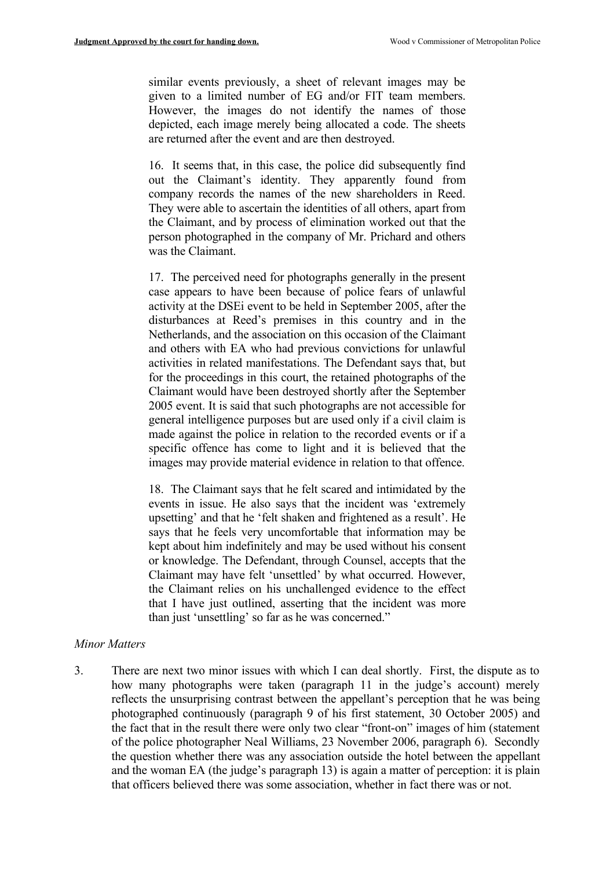similar events previously, a sheet of relevant images may be given to a limited number of EG and/or FIT team members. However, the images do not identify the names of those depicted, each image merely being allocated a code. The sheets are returned after the event and are then destroyed.

16. It seems that, in this case, the police did subsequently find out the Claimant's identity. They apparently found from company records the names of the new shareholders in Reed. They were able to ascertain the identities of all others, apart from the Claimant, and by process of elimination worked out that the person photographed in the company of Mr. Prichard and others was the Claimant.

17. The perceived need for photographs generally in the present case appears to have been because of police fears of unlawful activity at the DSEi event to be held in September 2005, after the disturbances at Reed's premises in this country and in the Netherlands, and the association on this occasion of the Claimant and others with EA who had previous convictions for unlawful activities in related manifestations. The Defendant says that, but for the proceedings in this court, the retained photographs of the Claimant would have been destroyed shortly after the September 2005 event. It is said that such photographs are not accessible for general intelligence purposes but are used only if a civil claim is made against the police in relation to the recorded events or if a specific offence has come to light and it is believed that the images may provide material evidence in relation to that offence.

18. The Claimant says that he felt scared and intimidated by the events in issue. He also says that the incident was 'extremely upsetting' and that he 'felt shaken and frightened as a result'. He says that he feels very uncomfortable that information may be kept about him indefinitely and may be used without his consent or knowledge. The Defendant, through Counsel, accepts that the Claimant may have felt 'unsettled' by what occurred. However, the Claimant relies on his unchallenged evidence to the effect that I have just outlined, asserting that the incident was more than just 'unsettling' so far as he was concerned."

#### *Minor Matters*

3. There are next two minor issues with which I can deal shortly. First, the dispute as to how many photographs were taken (paragraph 11 in the judge's account) merely reflects the unsurprising contrast between the appellant's perception that he was being photographed continuously (paragraph 9 of his first statement, 30 October 2005) and the fact that in the result there were only two clear "front-on" images of him (statement of the police photographer Neal Williams, 23 November 2006, paragraph 6). Secondly the question whether there was any association outside the hotel between the appellant and the woman EA (the judge's paragraph 13) is again a matter of perception: it is plain that officers believed there was some association, whether in fact there was or not.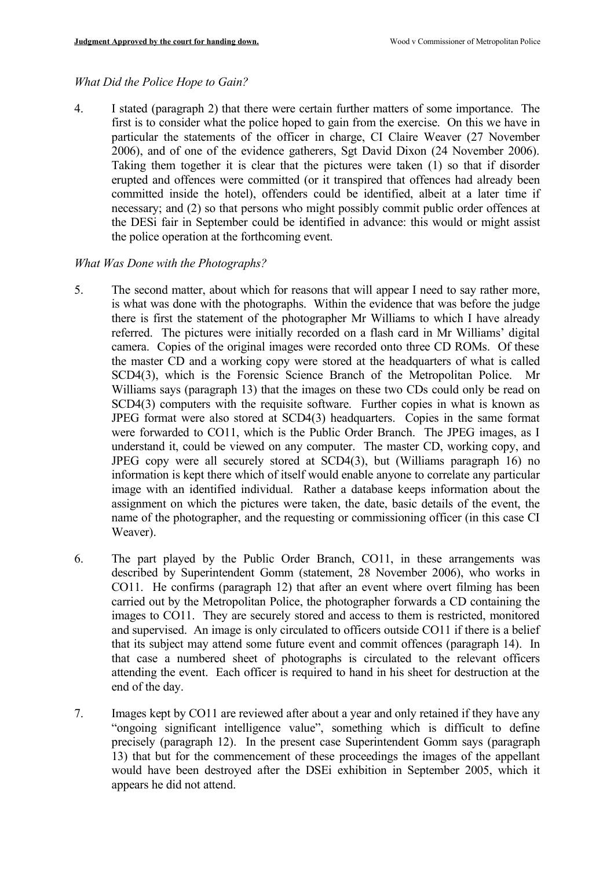# *What Did the Police Hope to Gain?*

4. I stated (paragraph 2) that there were certain further matters of some importance. The first is to consider what the police hoped to gain from the exercise. On this we have in particular the statements of the officer in charge, CI Claire Weaver (27 November 2006), and of one of the evidence gatherers, Sgt David Dixon (24 November 2006). Taking them together it is clear that the pictures were taken (1) so that if disorder erupted and offences were committed (or it transpired that offences had already been committed inside the hotel), offenders could be identified, albeit at a later time if necessary; and (2) so that persons who might possibly commit public order offences at the DESi fair in September could be identified in advance: this would or might assist the police operation at the forthcoming event.

# *What Was Done with the Photographs?*

- 5. The second matter, about which for reasons that will appear I need to say rather more, is what was done with the photographs. Within the evidence that was before the judge there is first the statement of the photographer Mr Williams to which I have already referred. The pictures were initially recorded on a flash card in Mr Williams' digital camera. Copies of the original images were recorded onto three CD ROMs. Of these the master CD and a working copy were stored at the headquarters of what is called SCD4(3), which is the Forensic Science Branch of the Metropolitan Police. Mr Williams says (paragraph 13) that the images on these two CDs could only be read on SCD4(3) computers with the requisite software. Further copies in what is known as JPEG format were also stored at SCD4(3) headquarters. Copies in the same format were forwarded to CO11, which is the Public Order Branch. The JPEG images, as I understand it, could be viewed on any computer. The master CD, working copy, and JPEG copy were all securely stored at SCD4(3), but (Williams paragraph 16) no information is kept there which of itself would enable anyone to correlate any particular image with an identified individual. Rather a database keeps information about the assignment on which the pictures were taken, the date, basic details of the event, the name of the photographer, and the requesting or commissioning officer (in this case CI Weaver).
- 6. The part played by the Public Order Branch, CO11, in these arrangements was described by Superintendent Gomm (statement, 28 November 2006), who works in CO11. He confirms (paragraph 12) that after an event where overt filming has been carried out by the Metropolitan Police, the photographer forwards a CD containing the images to CO11. They are securely stored and access to them is restricted, monitored and supervised. An image is only circulated to officers outside CO11 if there is a belief that its subject may attend some future event and commit offences (paragraph 14). In that case a numbered sheet of photographs is circulated to the relevant officers attending the event. Each officer is required to hand in his sheet for destruction at the end of the day.
- 7. Images kept by CO11 are reviewed after about a year and only retained if they have any "ongoing significant intelligence value", something which is difficult to define precisely (paragraph 12). In the present case Superintendent Gomm says (paragraph 13) that but for the commencement of these proceedings the images of the appellant would have been destroyed after the DSEi exhibition in September 2005, which it appears he did not attend.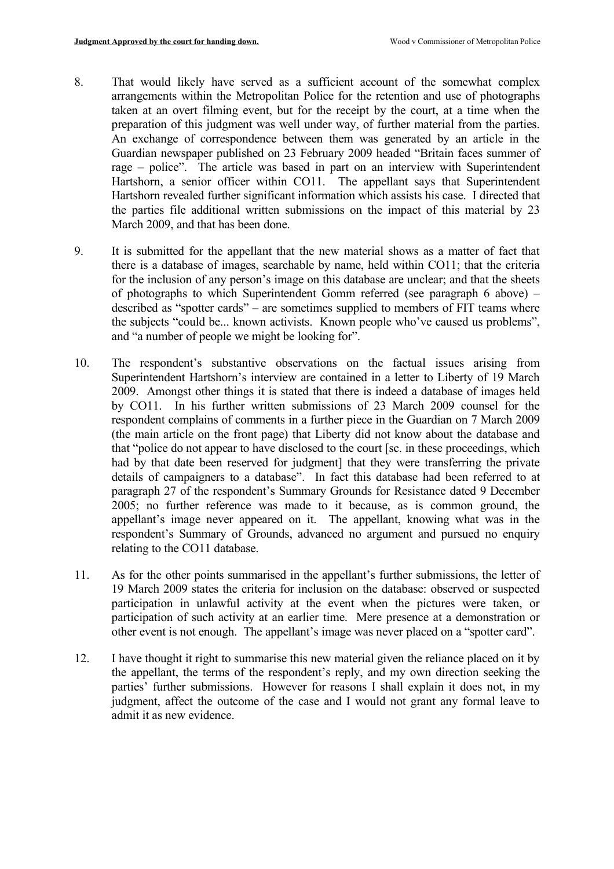- 8. That would likely have served as a sufficient account of the somewhat complex arrangements within the Metropolitan Police for the retention and use of photographs taken at an overt filming event, but for the receipt by the court, at a time when the preparation of this judgment was well under way, of further material from the parties. An exchange of correspondence between them was generated by an article in the Guardian newspaper published on 23 February 2009 headed "Britain faces summer of rage – police". The article was based in part on an interview with Superintendent Hartshorn, a senior officer within CO11. The appellant says that Superintendent Hartshorn revealed further significant information which assists his case. I directed that the parties file additional written submissions on the impact of this material by 23 March 2009, and that has been done.
- 9. It is submitted for the appellant that the new material shows as a matter of fact that there is a database of images, searchable by name, held within CO11; that the criteria for the inclusion of any person's image on this database are unclear; and that the sheets of photographs to which Superintendent Gomm referred (see paragraph 6 above) – described as "spotter cards" – are sometimes supplied to members of FIT teams where the subjects "could be... known activists. Known people who've caused us problems", and "a number of people we might be looking for".
- 10. The respondent's substantive observations on the factual issues arising from Superintendent Hartshorn's interview are contained in a letter to Liberty of 19 March 2009. Amongst other things it is stated that there is indeed a database of images held by CO11. In his further written submissions of 23 March 2009 counsel for the respondent complains of comments in a further piece in the Guardian on 7 March 2009 (the main article on the front page) that Liberty did not know about the database and that "police do not appear to have disclosed to the court [sc. in these proceedings, which had by that date been reserved for judgment] that they were transferring the private details of campaigners to a database". In fact this database had been referred to at paragraph 27 of the respondent's Summary Grounds for Resistance dated 9 December 2005; no further reference was made to it because, as is common ground, the appellant's image never appeared on it. The appellant, knowing what was in the respondent's Summary of Grounds, advanced no argument and pursued no enquiry relating to the CO11 database.
- 11. As for the other points summarised in the appellant's further submissions, the letter of 19 March 2009 states the criteria for inclusion on the database: observed or suspected participation in unlawful activity at the event when the pictures were taken, or participation of such activity at an earlier time. Mere presence at a demonstration or other event is not enough. The appellant's image was never placed on a "spotter card".
- 12. I have thought it right to summarise this new material given the reliance placed on it by the appellant, the terms of the respondent's reply, and my own direction seeking the parties' further submissions. However for reasons I shall explain it does not, in my judgment, affect the outcome of the case and I would not grant any formal leave to admit it as new evidence.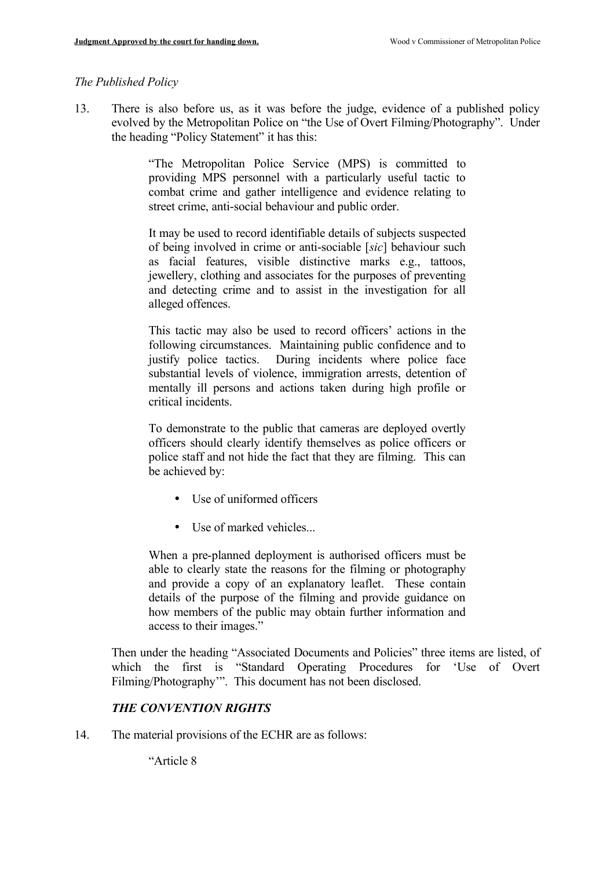#### *The Published Policy*

13. There is also before us, as it was before the judge, evidence of a published policy evolved by the Metropolitan Police on "the Use of Overt Filming/Photography". Under the heading "Policy Statement" it has this:

> "The Metropolitan Police Service (MPS) is committed to providing MPS personnel with a particularly useful tactic to combat crime and gather intelligence and evidence relating to street crime, anti-social behaviour and public order.

> It may be used to record identifiable details of subjects suspected of being involved in crime or anti-sociable [*sic*] behaviour such as facial features, visible distinctive marks e.g., tattoos, jewellery, clothing and associates for the purposes of preventing and detecting crime and to assist in the investigation for all alleged offences.

> This tactic may also be used to record officers' actions in the following circumstances. Maintaining public confidence and to justify police tactics. During incidents where police face substantial levels of violence, immigration arrests, detention of mentally ill persons and actions taken during high profile or critical incidents.

> To demonstrate to the public that cameras are deployed overtly officers should clearly identify themselves as police officers or police staff and not hide the fact that they are filming. This can be achieved by:

- Use of uniformed officers
- Use of marked vehicles.

When a pre-planned deployment is authorised officers must be able to clearly state the reasons for the filming or photography and provide a copy of an explanatory leaflet. These contain details of the purpose of the filming and provide guidance on how members of the public may obtain further information and access to their images."

Then under the heading "Associated Documents and Policies" three items are listed, of which the first is "Standard Operating Procedures for 'Use of Overt Filming/Photography'". This document has not been disclosed.

### *THE CONVENTION RIGHTS*

14. The material provisions of the ECHR are as follows:

"Article 8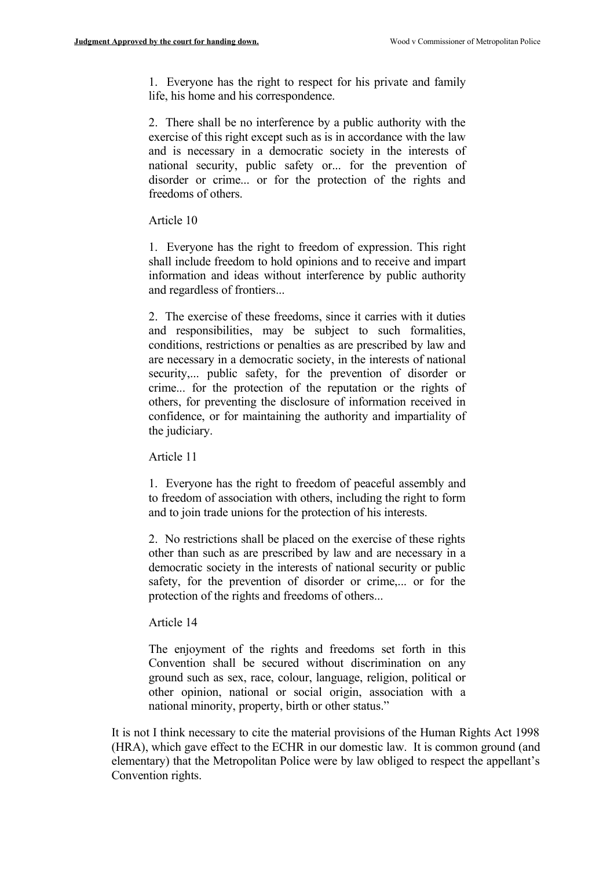1. Everyone has the right to respect for his private and family life, his home and his correspondence.

2. There shall be no interference by a public authority with the exercise of this right except such as is in accordance with the law and is necessary in a democratic society in the interests of national security, public safety or... for the prevention of disorder or crime... or for the protection of the rights and freedoms of others.

Article 10

1. Everyone has the right to freedom of expression. This right shall include freedom to hold opinions and to receive and impart information and ideas without interference by public authority and regardless of frontiers...

2. The exercise of these freedoms, since it carries with it duties and responsibilities, may be subject to such formalities, conditions, restrictions or penalties as are prescribed by law and are necessary in a democratic society, in the interests of national security,... public safety, for the prevention of disorder or crime... for the protection of the reputation or the rights of others, for preventing the disclosure of information received in confidence, or for maintaining the authority and impartiality of the judiciary.

Article 11

1. Everyone has the right to freedom of peaceful assembly and to freedom of association with others, including the right to form and to join trade unions for the protection of his interests.

2. No restrictions shall be placed on the exercise of these rights other than such as are prescribed by law and are necessary in a democratic society in the interests of national security or public safety, for the prevention of disorder or crime,... or for the protection of the rights and freedoms of others...

Article 14

The enjoyment of the rights and freedoms set forth in this Convention shall be secured without discrimination on any ground such as sex, race, colour, language, religion, political or other opinion, national or social origin, association with a national minority, property, birth or other status."

It is not I think necessary to cite the material provisions of the Human Rights Act 1998 (HRA), which gave effect to the ECHR in our domestic law. It is common ground (and elementary) that the Metropolitan Police were by law obliged to respect the appellant's Convention rights.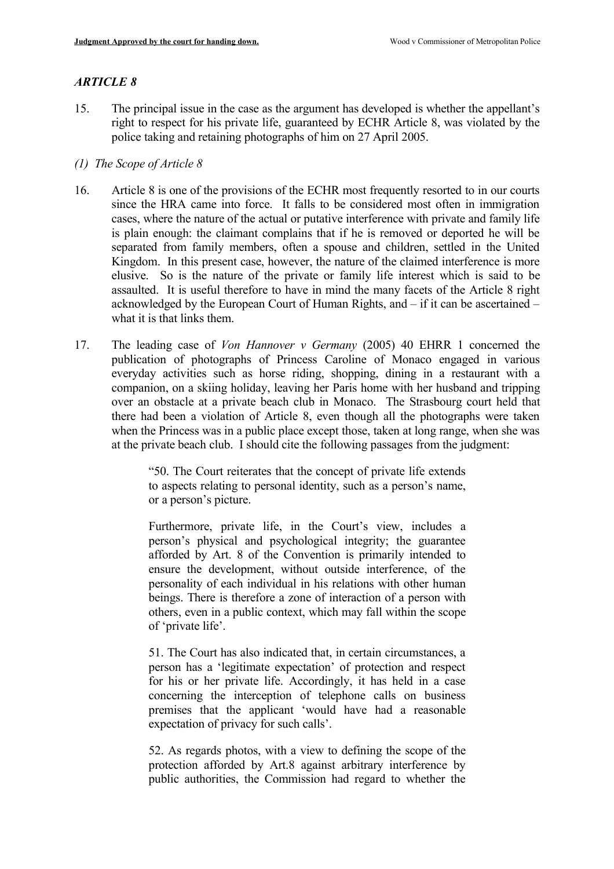### *ARTICLE 8*

15. The principal issue in the case as the argument has developed is whether the appellant's right to respect for his private life, guaranteed by ECHR Article 8, was violated by the police taking and retaining photographs of him on 27 April 2005.

### *(1) The Scope of Article 8*

- 16. Article 8 is one of the provisions of the ECHR most frequently resorted to in our courts since the HRA came into force. It falls to be considered most often in immigration cases, where the nature of the actual or putative interference with private and family life is plain enough: the claimant complains that if he is removed or deported he will be separated from family members, often a spouse and children, settled in the United Kingdom. In this present case, however, the nature of the claimed interference is more elusive. So is the nature of the private or family life interest which is said to be assaulted. It is useful therefore to have in mind the many facets of the Article 8 right acknowledged by the European Court of Human Rights, and – if it can be ascertained – what it is that links them.
- 17. The leading case of *Von Hannover v Germany* (2005) 40 EHRR 1 concerned the publication of photographs of Princess Caroline of Monaco engaged in various everyday activities such as horse riding, shopping, dining in a restaurant with a companion, on a skiing holiday, leaving her Paris home with her husband and tripping over an obstacle at a private beach club in Monaco. The Strasbourg court held that there had been a violation of Article 8, even though all the photographs were taken when the Princess was in a public place except those, taken at long range, when she was at the private beach club. I should cite the following passages from the judgment:

"50. The Court reiterates that the concept of private life extends to aspects relating to personal identity, such as a person's name, or a person's picture.

Furthermore, private life, in the Court's view, includes a person's physical and psychological integrity; the guarantee afforded by Art. 8 of the Convention is primarily intended to ensure the development, without outside interference, of the personality of each individual in his relations with other human beings. There is therefore a zone of interaction of a person with others, even in a public context, which may fall within the scope of 'private life'.

51. The Court has also indicated that, in certain circumstances, a person has a 'legitimate expectation' of protection and respect for his or her private life. Accordingly, it has held in a case concerning the interception of telephone calls on business premises that the applicant 'would have had a reasonable expectation of privacy for such calls'.

52. As regards photos, with a view to defining the scope of the protection afforded by Art.8 against arbitrary interference by public authorities, the Commission had regard to whether the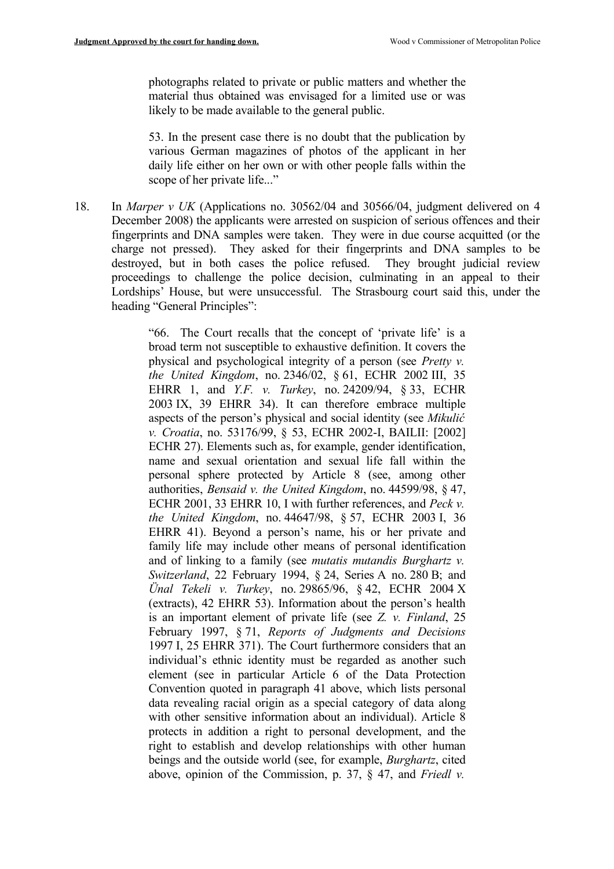photographs related to private or public matters and whether the material thus obtained was envisaged for a limited use or was likely to be made available to the general public.

53. In the present case there is no doubt that the publication by various German magazines of photos of the applicant in her daily life either on her own or with other people falls within the scope of her private life..."

18. In *Marper v UK* (Applications no. 30562/04 and 30566/04, judgment delivered on 4 December 2008) the applicants were arrested on suspicion of serious offences and their fingerprints and DNA samples were taken. They were in due course acquitted (or the charge not pressed). They asked for their fingerprints and DNA samples to be destroyed, but in both cases the police refused. They brought judicial review proceedings to challenge the police decision, culminating in an appeal to their Lordships' House, but were unsuccessful. The Strasbourg court said this, under the heading "General Principles":

> "66. The Court recalls that the concept of 'private life' is a broad term not susceptible to exhaustive definition. It covers the physical and psychological integrity of a person (see *Pretty v. the United Kingdom*, no. 2346/02, § 61, ECHR 2002 III, 35 EHRR 1, and *Y.F. v. Turkey*, no. 24209/94, § 33, ECHR 2003 IX, 39 EHRR 34). It can therefore embrace multiple aspects of the person's physical and social identity (see *Mikulić v. Croatia*, no. 53176/99, § 53, ECHR 2002-I, BAILII: [2002] ECHR 27). Elements such as, for example, gender identification, name and sexual orientation and sexual life fall within the personal sphere protected by Article 8 (see, among other authorities, *Bensaid v. the United Kingdom*, no. 44599/98, § 47, ECHR 2001, 33 EHRR 10, I with further references, and *Peck v. the United Kingdom*, no. 44647/98, § 57, ECHR 2003 I, 36 EHRR 41). Beyond a person's name, his or her private and family life may include other means of personal identification and of linking to a family (see *mutatis mutandis Burghartz v. Switzerland*, 22 February 1994, § 24, Series A no. 280 B; and *Ünal Tekeli v. Turkey*, no. 29865/96, § 42, ECHR 2004 X (extracts), 42 EHRR 53). Information about the person's health is an important element of private life (see *Z. v. Finland*, 25 February 1997, § 71, *Reports of Judgments and Decisions* 1997 I, 25 EHRR 371). The Court furthermore considers that an individual's ethnic identity must be regarded as another such element (see in particular Article 6 of the Data Protection Convention quoted in paragraph 41 above, which lists personal data revealing racial origin as a special category of data along with other sensitive information about an individual). Article 8 protects in addition a right to personal development, and the right to establish and develop relationships with other human beings and the outside world (see, for example, *Burghartz*, cited above, opinion of the Commission, p. 37, § 47, and *Friedl v.*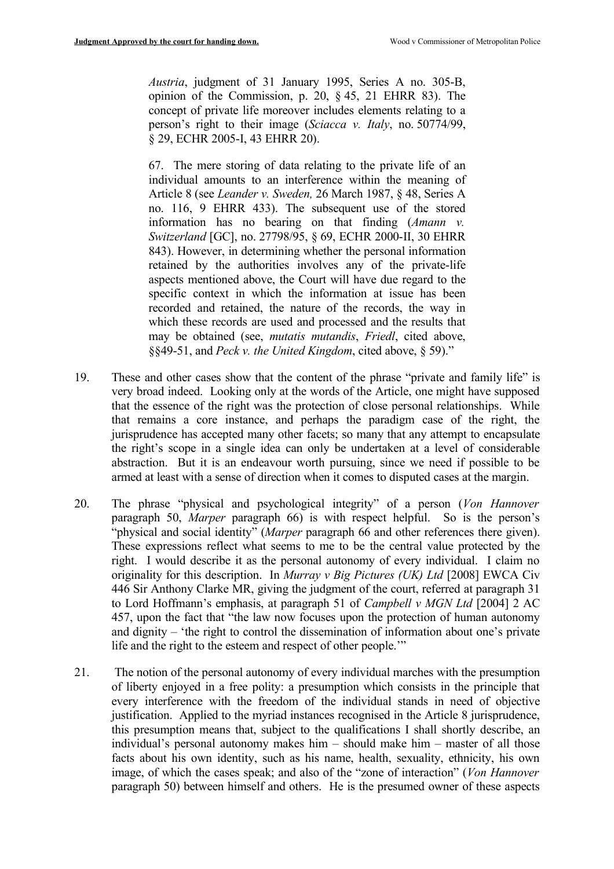*Austria*, judgment of 31 January 1995, Series A no. 305-B, opinion of the Commission, p. 20, § 45, 21 EHRR 83). The concept of private life moreover includes elements relating to a person's right to their image (*Sciacca v. Italy*, no. 50774/99, § 29, ECHR 2005-I, 43 EHRR 20).

67. The mere storing of data relating to the private life of an individual amounts to an interference within the meaning of Article 8 (see *Leander v. Sweden,* 26 March 1987, § 48, Series A no. 116, 9 EHRR 433). The subsequent use of the stored information has no bearing on that finding (*Amann v. Switzerland* [GC], no. 27798/95, § 69, ECHR 2000-II, 30 EHRR 843). However, in determining whether the personal information retained by the authorities involves any of the private-life aspects mentioned above, the Court will have due regard to the specific context in which the information at issue has been recorded and retained, the nature of the records, the way in which these records are used and processed and the results that may be obtained (see, *mutatis mutandis*, *Friedl*, cited above, §§49-51, and *Peck v. the United Kingdom*, cited above, § 59)."

- 19. These and other cases show that the content of the phrase "private and family life" is very broad indeed. Looking only at the words of the Article, one might have supposed that the essence of the right was the protection of close personal relationships. While that remains a core instance, and perhaps the paradigm case of the right, the jurisprudence has accepted many other facets; so many that any attempt to encapsulate the right's scope in a single idea can only be undertaken at a level of considerable abstraction. But it is an endeavour worth pursuing, since we need if possible to be armed at least with a sense of direction when it comes to disputed cases at the margin.
- 20. The phrase "physical and psychological integrity" of a person (*Von Hannover* paragraph 50, *Marper* paragraph 66) is with respect helpful. So is the person's "physical and social identity" (*Marper* paragraph 66 and other references there given). These expressions reflect what seems to me to be the central value protected by the right. I would describe it as the personal autonomy of every individual. I claim no originality for this description. In *Murray v Big Pictures (UK) Ltd* [2008] EWCA Civ 446 Sir Anthony Clarke MR, giving the judgment of the court, referred at paragraph 31 to Lord Hoffmann's emphasis, at paragraph 51 of *Campbell v MGN Ltd* [2004] 2 AC 457, upon the fact that "the law now focuses upon the protection of human autonomy and dignity – 'the right to control the dissemination of information about one's private life and the right to the esteem and respect of other people.'"
- 21. The notion of the personal autonomy of every individual marches with the presumption of liberty enjoyed in a free polity: a presumption which consists in the principle that every interference with the freedom of the individual stands in need of objective justification. Applied to the myriad instances recognised in the Article 8 jurisprudence, this presumption means that, subject to the qualifications I shall shortly describe, an individual's personal autonomy makes him – should make him – master of all those facts about his own identity, such as his name, health, sexuality, ethnicity, his own image, of which the cases speak; and also of the "zone of interaction" (*Von Hannover* paragraph 50) between himself and others. He is the presumed owner of these aspects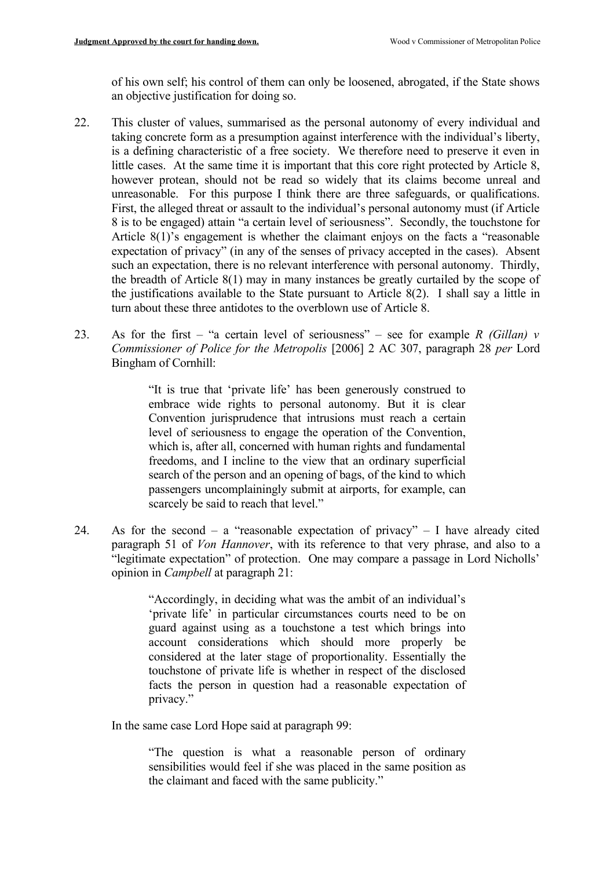of his own self; his control of them can only be loosened, abrogated, if the State shows an objective justification for doing so.

- 22. This cluster of values, summarised as the personal autonomy of every individual and taking concrete form as a presumption against interference with the individual's liberty, is a defining characteristic of a free society. We therefore need to preserve it even in little cases. At the same time it is important that this core right protected by Article 8, however protean, should not be read so widely that its claims become unreal and unreasonable. For this purpose I think there are three safeguards, or qualifications. First, the alleged threat or assault to the individual's personal autonomy must (if Article 8 is to be engaged) attain "a certain level of seriousness". Secondly, the touchstone for Article 8(1)'s engagement is whether the claimant enjoys on the facts a "reasonable expectation of privacy" (in any of the senses of privacy accepted in the cases). Absent such an expectation, there is no relevant interference with personal autonomy. Thirdly, the breadth of Article 8(1) may in many instances be greatly curtailed by the scope of the justifications available to the State pursuant to Article 8(2). I shall say a little in turn about these three antidotes to the overblown use of Article 8.
- 23. As for the first "a certain level of seriousness" see for example *R (Gillan) v Commissioner of Police for the Metropolis* [2006] 2 AC 307, paragraph 28 *per* Lord Bingham of Cornhill:

"It is true that 'private life' has been generously construed to embrace wide rights to personal autonomy. But it is clear Convention jurisprudence that intrusions must reach a certain level of seriousness to engage the operation of the Convention, which is, after all, concerned with human rights and fundamental freedoms, and I incline to the view that an ordinary superficial search of the person and an opening of bags, of the kind to which passengers uncomplainingly submit at airports, for example, can scarcely be said to reach that level."

24. As for the second – a "reasonable expectation of privacy" – I have already cited paragraph 51 of *Von Hannover*, with its reference to that very phrase, and also to a "legitimate expectation" of protection. One may compare a passage in Lord Nicholls' opinion in *Campbell* at paragraph 21:

> "Accordingly, in deciding what was the ambit of an individual's 'private life' in particular circumstances courts need to be on guard against using as a touchstone a test which brings into account considerations which should more properly be considered at the later stage of proportionality. Essentially the touchstone of private life is whether in respect of the disclosed facts the person in question had a reasonable expectation of privacy."

In the same case Lord Hope said at paragraph 99:

"The question is what a reasonable person of ordinary sensibilities would feel if she was placed in the same position as the claimant and faced with the same publicity."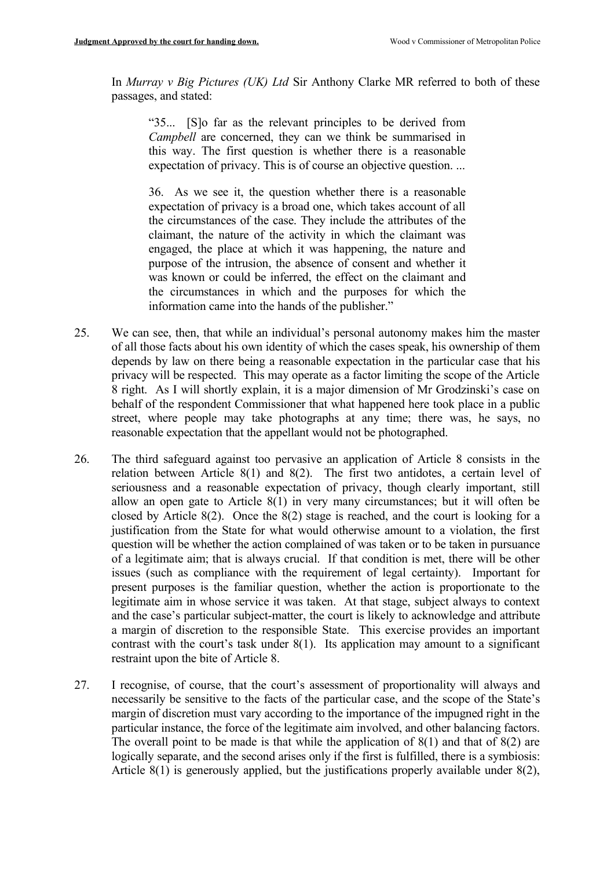In *Murray v Big Pictures (UK) Ltd* Sir Anthony Clarke MR referred to both of these passages, and stated:

"35... [S]o far as the relevant principles to be derived from *Campbell* are concerned, they can we think be summarised in this way. The first question is whether there is a reasonable expectation of privacy. This is of course an objective question. ...

36. As we see it, the question whether there is a reasonable expectation of privacy is a broad one, which takes account of all the circumstances of the case. They include the attributes of the claimant, the nature of the activity in which the claimant was engaged, the place at which it was happening, the nature and purpose of the intrusion, the absence of consent and whether it was known or could be inferred, the effect on the claimant and the circumstances in which and the purposes for which the information came into the hands of the publisher."

- 25. We can see, then, that while an individual's personal autonomy makes him the master of all those facts about his own identity of which the cases speak, his ownership of them depends by law on there being a reasonable expectation in the particular case that his privacy will be respected. This may operate as a factor limiting the scope of the Article 8 right. As I will shortly explain, it is a major dimension of Mr Grodzinski's case on behalf of the respondent Commissioner that what happened here took place in a public street, where people may take photographs at any time; there was, he says, no reasonable expectation that the appellant would not be photographed.
- 26. The third safeguard against too pervasive an application of Article 8 consists in the relation between Article 8(1) and 8(2). The first two antidotes, a certain level of seriousness and a reasonable expectation of privacy, though clearly important, still allow an open gate to Article 8(1) in very many circumstances; but it will often be closed by Article 8(2). Once the 8(2) stage is reached, and the court is looking for a justification from the State for what would otherwise amount to a violation, the first question will be whether the action complained of was taken or to be taken in pursuance of a legitimate aim; that is always crucial. If that condition is met, there will be other issues (such as compliance with the requirement of legal certainty). Important for present purposes is the familiar question, whether the action is proportionate to the legitimate aim in whose service it was taken. At that stage, subject always to context and the case's particular subject-matter, the court is likely to acknowledge and attribute a margin of discretion to the responsible State. This exercise provides an important contrast with the court's task under 8(1). Its application may amount to a significant restraint upon the bite of Article 8.
- 27. I recognise, of course, that the court's assessment of proportionality will always and necessarily be sensitive to the facts of the particular case, and the scope of the State's margin of discretion must vary according to the importance of the impugned right in the particular instance, the force of the legitimate aim involved, and other balancing factors. The overall point to be made is that while the application of  $8(1)$  and that of  $8(2)$  are logically separate, and the second arises only if the first is fulfilled, there is a symbiosis: Article 8(1) is generously applied, but the justifications properly available under 8(2),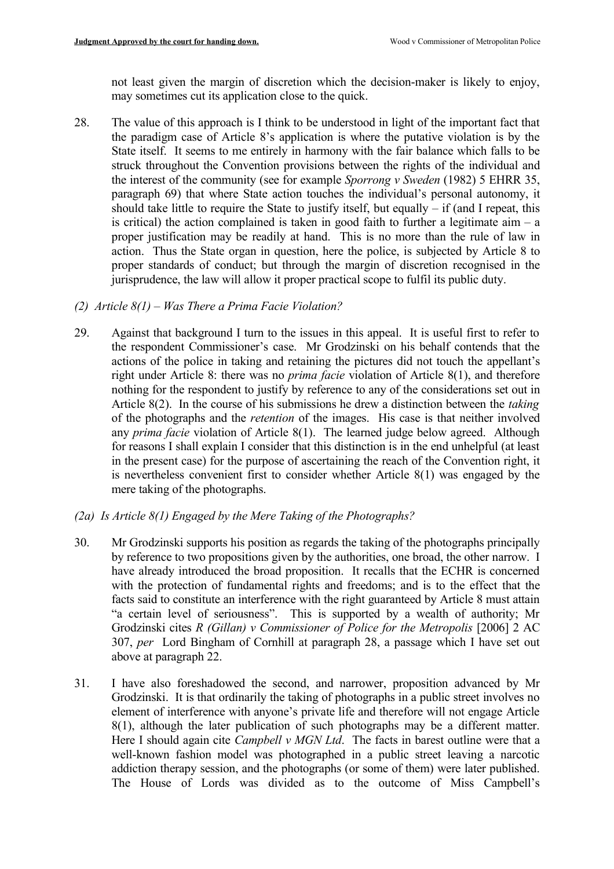not least given the margin of discretion which the decision-maker is likely to enjoy, may sometimes cut its application close to the quick.

- 28. The value of this approach is I think to be understood in light of the important fact that the paradigm case of Article 8's application is where the putative violation is by the State itself. It seems to me entirely in harmony with the fair balance which falls to be struck throughout the Convention provisions between the rights of the individual and the interest of the community (see for example *Sporrong v Sweden* (1982) 5 EHRR 35, paragraph 69) that where State action touches the individual's personal autonomy, it should take little to require the State to justify itself, but equally  $-$  if (and I repeat, this is critical) the action complained is taken in good faith to further a legitimate  $\dim - a$ proper justification may be readily at hand. This is no more than the rule of law in action. Thus the State organ in question, here the police, is subjected by Article 8 to proper standards of conduct; but through the margin of discretion recognised in the jurisprudence, the law will allow it proper practical scope to fulfil its public duty.
- *(2) Article 8(1) Was There a Prima Facie Violation?*
- 29. Against that background I turn to the issues in this appeal. It is useful first to refer to the respondent Commissioner's case. Mr Grodzinski on his behalf contends that the actions of the police in taking and retaining the pictures did not touch the appellant's right under Article 8: there was no *prima facie* violation of Article 8(1), and therefore nothing for the respondent to justify by reference to any of the considerations set out in Article 8(2). In the course of his submissions he drew a distinction between the *taking* of the photographs and the *retention* of the images. His case is that neither involved any *prima facie* violation of Article 8(1). The learned judge below agreed. Although for reasons I shall explain I consider that this distinction is in the end unhelpful (at least in the present case) for the purpose of ascertaining the reach of the Convention right, it is nevertheless convenient first to consider whether Article 8(1) was engaged by the mere taking of the photographs.
- *(2a) Is Article 8(1) Engaged by the Mere Taking of the Photographs?*
- 30. Mr Grodzinski supports his position as regards the taking of the photographs principally by reference to two propositions given by the authorities, one broad, the other narrow. I have already introduced the broad proposition. It recalls that the ECHR is concerned with the protection of fundamental rights and freedoms; and is to the effect that the facts said to constitute an interference with the right guaranteed by Article 8 must attain "a certain level of seriousness". This is supported by a wealth of authority; Mr Grodzinski cites *R (Gillan) v Commissioner of Police for the Metropolis* [2006] 2 AC 307, *per* Lord Bingham of Cornhill at paragraph 28, a passage which I have set out above at paragraph 22.
- 31. I have also foreshadowed the second, and narrower, proposition advanced by Mr Grodzinski. It is that ordinarily the taking of photographs in a public street involves no element of interference with anyone's private life and therefore will not engage Article 8(1), although the later publication of such photographs may be a different matter. Here I should again cite *Campbell v MGN Ltd*. The facts in barest outline were that a well-known fashion model was photographed in a public street leaving a narcotic addiction therapy session, and the photographs (or some of them) were later published. The House of Lords was divided as to the outcome of Miss Campbell's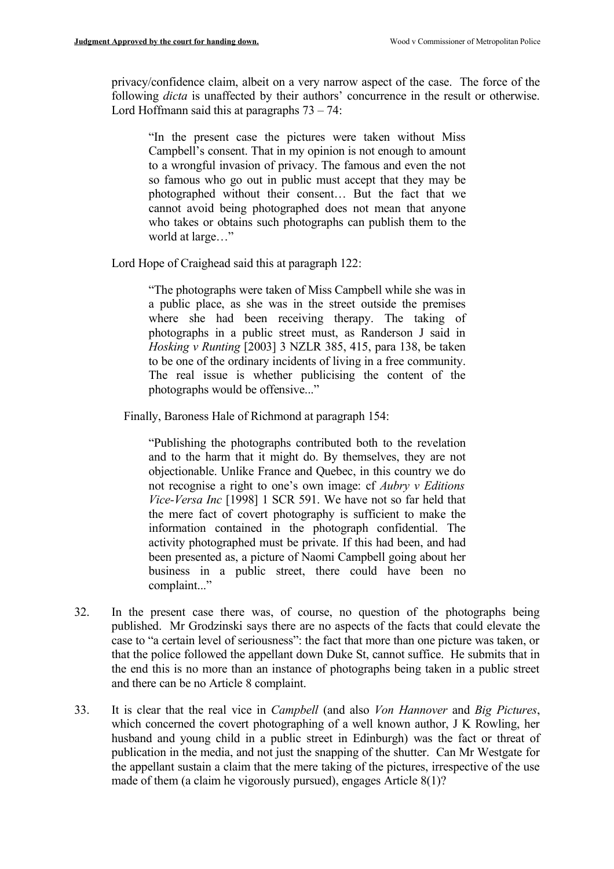privacy/confidence claim, albeit on a very narrow aspect of the case. The force of the following *dicta* is unaffected by their authors' concurrence in the result or otherwise. Lord Hoffmann said this at paragraphs  $73 - 74$ :

"In the present case the pictures were taken without Miss Campbell's consent. That in my opinion is not enough to amount to a wrongful invasion of privacy. The famous and even the not so famous who go out in public must accept that they may be photographed without their consent… But the fact that we cannot avoid being photographed does not mean that anyone who takes or obtains such photographs can publish them to the world at large…"

Lord Hope of Craighead said this at paragraph 122:

"The photographs were taken of Miss Campbell while she was in a public place, as she was in the street outside the premises where she had been receiving therapy. The taking of photographs in a public street must, as Randerson J said in *Hosking v Runting* [2003] 3 NZLR 385, 415, para 138, be taken to be one of the ordinary incidents of living in a free community. The real issue is whether publicising the content of the photographs would be offensive..."

Finally, Baroness Hale of Richmond at paragraph 154:

"Publishing the photographs contributed both to the revelation and to the harm that it might do. By themselves, they are not objectionable. Unlike France and Quebec, in this country we do not recognise a right to one's own image: cf *Aubry v Editions Vice-Versa Inc* [1998] 1 SCR 591. We have not so far held that the mere fact of covert photography is sufficient to make the information contained in the photograph confidential. The activity photographed must be private. If this had been, and had been presented as, a picture of Naomi Campbell going about her business in a public street, there could have been no complaint..."

- 32. In the present case there was, of course, no question of the photographs being published. Mr Grodzinski says there are no aspects of the facts that could elevate the case to "a certain level of seriousness": the fact that more than one picture was taken, or that the police followed the appellant down Duke St, cannot suffice. He submits that in the end this is no more than an instance of photographs being taken in a public street and there can be no Article 8 complaint.
- 33. It is clear that the real vice in *Campbell* (and also *Von Hannover* and *Big Pictures*, which concerned the covert photographing of a well known author, J K Rowling, her husband and young child in a public street in Edinburgh) was the fact or threat of publication in the media, and not just the snapping of the shutter. Can Mr Westgate for the appellant sustain a claim that the mere taking of the pictures, irrespective of the use made of them (a claim he vigorously pursued), engages Article 8(1)?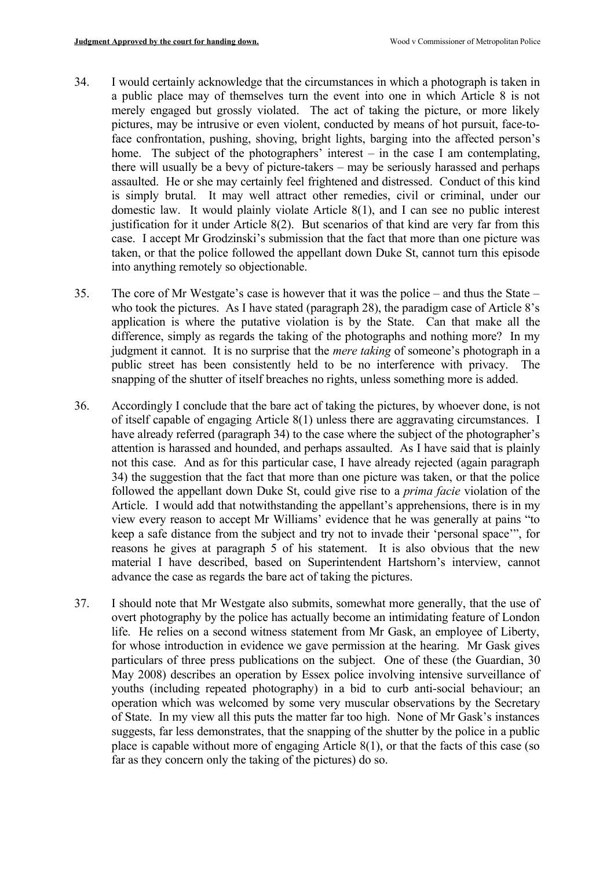- 34. I would certainly acknowledge that the circumstances in which a photograph is taken in a public place may of themselves turn the event into one in which Article 8 is not merely engaged but grossly violated. The act of taking the picture, or more likely pictures, may be intrusive or even violent, conducted by means of hot pursuit, face-toface confrontation, pushing, shoving, bright lights, barging into the affected person's home. The subject of the photographers' interest – in the case I am contemplating, there will usually be a bevy of picture-takers – may be seriously harassed and perhaps assaulted. He or she may certainly feel frightened and distressed. Conduct of this kind is simply brutal. It may well attract other remedies, civil or criminal, under our domestic law. It would plainly violate Article 8(1), and I can see no public interest justification for it under Article 8(2). But scenarios of that kind are very far from this case. I accept Mr Grodzinski's submission that the fact that more than one picture was taken, or that the police followed the appellant down Duke St, cannot turn this episode into anything remotely so objectionable.
- 35. The core of Mr Westgate's case is however that it was the police and thus the State who took the pictures. As I have stated (paragraph 28), the paradigm case of Article 8's application is where the putative violation is by the State. Can that make all the difference, simply as regards the taking of the photographs and nothing more? In my judgment it cannot. It is no surprise that the *mere taking* of someone's photograph in a public street has been consistently held to be no interference with privacy. The snapping of the shutter of itself breaches no rights, unless something more is added.
- 36. Accordingly I conclude that the bare act of taking the pictures, by whoever done, is not of itself capable of engaging Article 8(1) unless there are aggravating circumstances. I have already referred (paragraph 34) to the case where the subject of the photographer's attention is harassed and hounded, and perhaps assaulted. As I have said that is plainly not this case. And as for this particular case, I have already rejected (again paragraph 34) the suggestion that the fact that more than one picture was taken, or that the police followed the appellant down Duke St, could give rise to a *prima facie* violation of the Article. I would add that notwithstanding the appellant's apprehensions, there is in my view every reason to accept Mr Williams' evidence that he was generally at pains "to keep a safe distance from the subject and try not to invade their 'personal space'", for reasons he gives at paragraph 5 of his statement. It is also obvious that the new material I have described, based on Superintendent Hartshorn's interview, cannot advance the case as regards the bare act of taking the pictures.
- 37. I should note that Mr Westgate also submits, somewhat more generally, that the use of overt photography by the police has actually become an intimidating feature of London life. He relies on a second witness statement from Mr Gask, an employee of Liberty, for whose introduction in evidence we gave permission at the hearing. Mr Gask gives particulars of three press publications on the subject. One of these (the Guardian, 30 May 2008) describes an operation by Essex police involving intensive surveillance of youths (including repeated photography) in a bid to curb anti-social behaviour; an operation which was welcomed by some very muscular observations by the Secretary of State. In my view all this puts the matter far too high. None of Mr Gask's instances suggests, far less demonstrates, that the snapping of the shutter by the police in a public place is capable without more of engaging Article 8(1), or that the facts of this case (so far as they concern only the taking of the pictures) do so.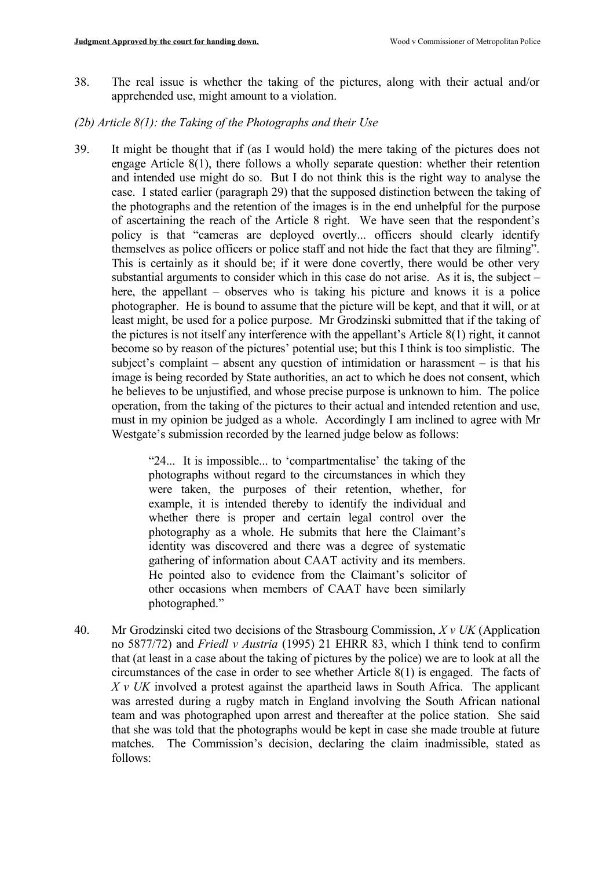38. The real issue is whether the taking of the pictures, along with their actual and/or apprehended use, might amount to a violation.

### *(2b) Article 8(1): the Taking of the Photographs and their Use*

39. It might be thought that if (as I would hold) the mere taking of the pictures does not engage Article 8(1), there follows a wholly separate question: whether their retention and intended use might do so. But I do not think this is the right way to analyse the case. I stated earlier (paragraph 29) that the supposed distinction between the taking of the photographs and the retention of the images is in the end unhelpful for the purpose of ascertaining the reach of the Article 8 right. We have seen that the respondent's policy is that "cameras are deployed overtly... officers should clearly identify themselves as police officers or police staff and not hide the fact that they are filming". This is certainly as it should be; if it were done covertly, there would be other very substantial arguments to consider which in this case do not arise. As it is, the subject – here, the appellant – observes who is taking his picture and knows it is a police photographer. He is bound to assume that the picture will be kept, and that it will, or at least might, be used for a police purpose. Mr Grodzinski submitted that if the taking of the pictures is not itself any interference with the appellant's Article 8(1) right, it cannot become so by reason of the pictures' potential use; but this I think is too simplistic. The subject's complaint – absent any question of intimidation or harassment – is that his image is being recorded by State authorities, an act to which he does not consent, which he believes to be unjustified, and whose precise purpose is unknown to him. The police operation, from the taking of the pictures to their actual and intended retention and use, must in my opinion be judged as a whole. Accordingly I am inclined to agree with Mr Westgate's submission recorded by the learned judge below as follows:

> "24... It is impossible... to 'compartmentalise' the taking of the photographs without regard to the circumstances in which they were taken, the purposes of their retention, whether, for example, it is intended thereby to identify the individual and whether there is proper and certain legal control over the photography as a whole. He submits that here the Claimant's identity was discovered and there was a degree of systematic gathering of information about CAAT activity and its members. He pointed also to evidence from the Claimant's solicitor of other occasions when members of CAAT have been similarly photographed."

40. Mr Grodzinski cited two decisions of the Strasbourg Commission, *X v UK* (Application no 5877/72) and *Friedl v Austria* (1995) 21 EHRR 83, which I think tend to confirm that (at least in a case about the taking of pictures by the police) we are to look at all the circumstances of the case in order to see whether Article 8(1) is engaged. The facts of *X v UK* involved a protest against the apartheid laws in South Africa. The applicant was arrested during a rugby match in England involving the South African national team and was photographed upon arrest and thereafter at the police station. She said that she was told that the photographs would be kept in case she made trouble at future matches. The Commission's decision, declaring the claim inadmissible, stated as follows: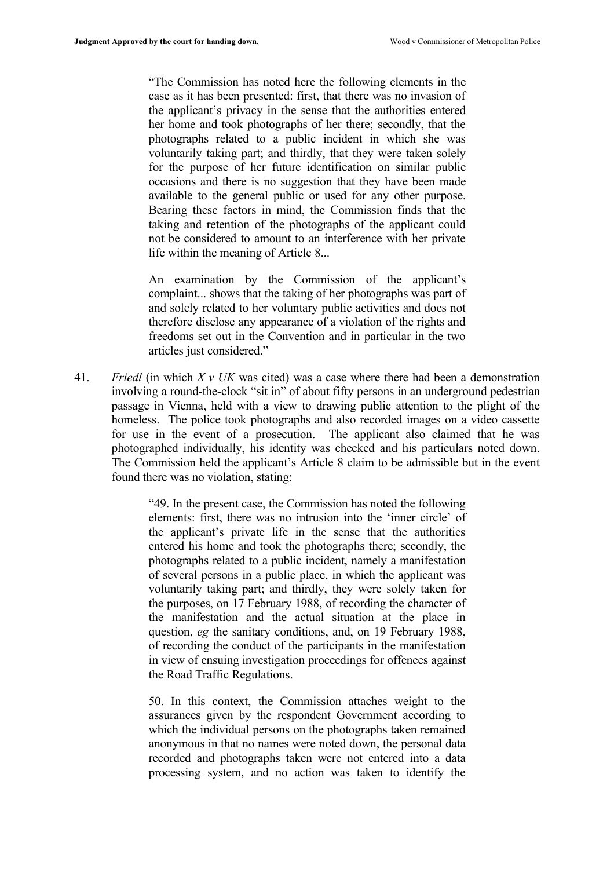"The Commission has noted here the following elements in the case as it has been presented: first, that there was no invasion of the applicant's privacy in the sense that the authorities entered her home and took photographs of her there; secondly, that the photographs related to a public incident in which she was voluntarily taking part; and thirdly, that they were taken solely for the purpose of her future identification on similar public occasions and there is no suggestion that they have been made available to the general public or used for any other purpose. Bearing these factors in mind, the Commission finds that the taking and retention of the photographs of the applicant could not be considered to amount to an interference with her private life within the meaning of Article 8...

An examination by the Commission of the applicant's complaint... shows that the taking of her photographs was part of and solely related to her voluntary public activities and does not therefore disclose any appearance of a violation of the rights and freedoms set out in the Convention and in particular in the two articles just considered."

41. *Friedl* (in which *X v UK* was cited) was a case where there had been a demonstration involving a round-the-clock "sit in" of about fifty persons in an underground pedestrian passage in Vienna, held with a view to drawing public attention to the plight of the homeless. The police took photographs and also recorded images on a video cassette for use in the event of a prosecution. The applicant also claimed that he was photographed individually, his identity was checked and his particulars noted down. The Commission held the applicant's Article 8 claim to be admissible but in the event found there was no violation, stating:

> "49. In the present case, the Commission has noted the following elements: first, there was no intrusion into the 'inner circle' of the applicant's private life in the sense that the authorities entered his home and took the photographs there; secondly, the photographs related to a public incident, namely a manifestation of several persons in a public place, in which the applicant was voluntarily taking part; and thirdly, they were solely taken for the purposes, on 17 February 1988, of recording the character of the manifestation and the actual situation at the place in question, *eg* the sanitary conditions, and, on 19 February 1988, of recording the conduct of the participants in the manifestation in view of ensuing investigation proceedings for offences against the Road Traffic Regulations.

> 50. In this context, the Commission attaches weight to the assurances given by the respondent Government according to which the individual persons on the photographs taken remained anonymous in that no names were noted down, the personal data recorded and photographs taken were not entered into a data processing system, and no action was taken to identify the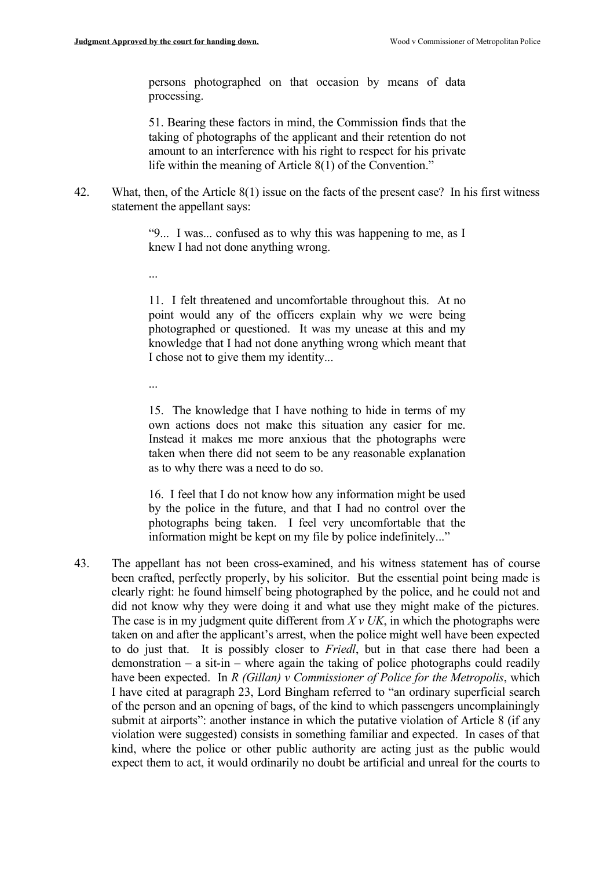persons photographed on that occasion by means of data processing.

51. Bearing these factors in mind, the Commission finds that the taking of photographs of the applicant and their retention do not amount to an interference with his right to respect for his private life within the meaning of Article 8(1) of the Convention."

42. What, then, of the Article 8(1) issue on the facts of the present case? In his first witness statement the appellant says:

> "9... I was... confused as to why this was happening to me, as I knew I had not done anything wrong.

> 11. I felt threatened and uncomfortable throughout this. At no

point would any of the officers explain why we were being photographed or questioned. It was my unease at this and my knowledge that I had not done anything wrong which meant that I chose not to give them my identity...

...

...

15. The knowledge that I have nothing to hide in terms of my own actions does not make this situation any easier for me. Instead it makes me more anxious that the photographs were taken when there did not seem to be any reasonable explanation as to why there was a need to do so.

16. I feel that I do not know how any information might be used by the police in the future, and that I had no control over the photographs being taken. I feel very uncomfortable that the information might be kept on my file by police indefinitely..."

43. The appellant has not been cross-examined, and his witness statement has of course been crafted, perfectly properly, by his solicitor. But the essential point being made is clearly right: he found himself being photographed by the police, and he could not and did not know why they were doing it and what use they might make of the pictures. The case is in my judgment quite different from  $Xv$  UK, in which the photographs were taken on and after the applicant's arrest, when the police might well have been expected to do just that. It is possibly closer to *Friedl*, but in that case there had been a demonstration – a sit-in – where again the taking of police photographs could readily have been expected. In *R (Gillan) v Commissioner of Police for the Metropolis*, which I have cited at paragraph 23, Lord Bingham referred to "an ordinary superficial search of the person and an opening of bags, of the kind to which passengers uncomplainingly submit at airports": another instance in which the putative violation of Article 8 (if any violation were suggested) consists in something familiar and expected. In cases of that kind, where the police or other public authority are acting just as the public would expect them to act, it would ordinarily no doubt be artificial and unreal for the courts to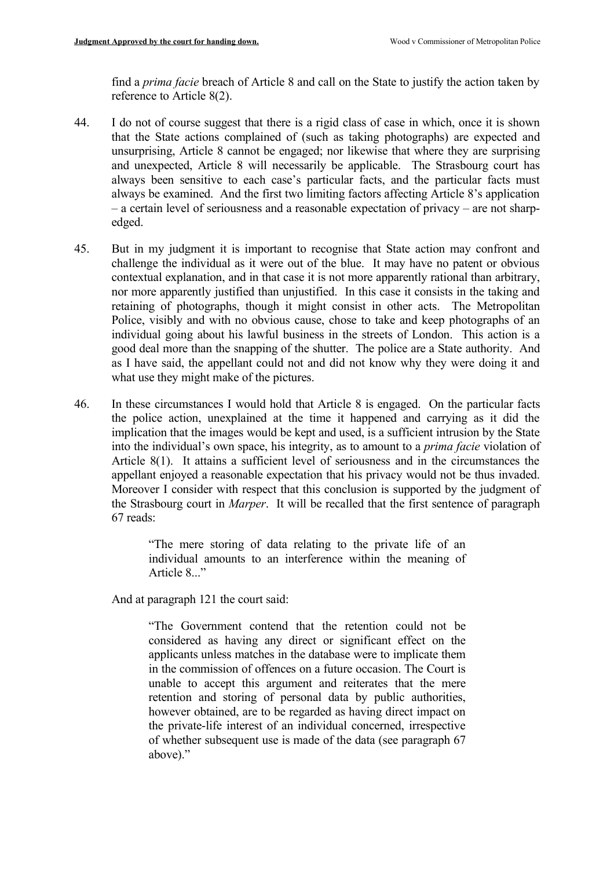find a *prima facie* breach of Article 8 and call on the State to justify the action taken by reference to Article 8(2).

- 44. I do not of course suggest that there is a rigid class of case in which, once it is shown that the State actions complained of (such as taking photographs) are expected and unsurprising, Article 8 cannot be engaged; nor likewise that where they are surprising and unexpected, Article 8 will necessarily be applicable. The Strasbourg court has always been sensitive to each case's particular facts, and the particular facts must always be examined. And the first two limiting factors affecting Article 8's application – a certain level of seriousness and a reasonable expectation of privacy – are not sharpedged.
- 45. But in my judgment it is important to recognise that State action may confront and challenge the individual as it were out of the blue. It may have no patent or obvious contextual explanation, and in that case it is not more apparently rational than arbitrary, nor more apparently justified than unjustified. In this case it consists in the taking and retaining of photographs, though it might consist in other acts. The Metropolitan Police, visibly and with no obvious cause, chose to take and keep photographs of an individual going about his lawful business in the streets of London. This action is a good deal more than the snapping of the shutter. The police are a State authority. And as I have said, the appellant could not and did not know why they were doing it and what use they might make of the pictures.
- 46. In these circumstances I would hold that Article 8 is engaged. On the particular facts the police action, unexplained at the time it happened and carrying as it did the implication that the images would be kept and used, is a sufficient intrusion by the State into the individual's own space, his integrity, as to amount to a *prima facie* violation of Article 8(1). It attains a sufficient level of seriousness and in the circumstances the appellant enjoyed a reasonable expectation that his privacy would not be thus invaded. Moreover I consider with respect that this conclusion is supported by the judgment of the Strasbourg court in *Marper*. It will be recalled that the first sentence of paragraph 67 reads:

"The mere storing of data relating to the private life of an individual amounts to an interference within the meaning of Article 8..."

And at paragraph 121 the court said:

"The Government contend that the retention could not be considered as having any direct or significant effect on the applicants unless matches in the database were to implicate them in the commission of offences on a future occasion. The Court is unable to accept this argument and reiterates that the mere retention and storing of personal data by public authorities, however obtained, are to be regarded as having direct impact on the private-life interest of an individual concerned, irrespective of whether subsequent use is made of the data (see paragraph 67 above)."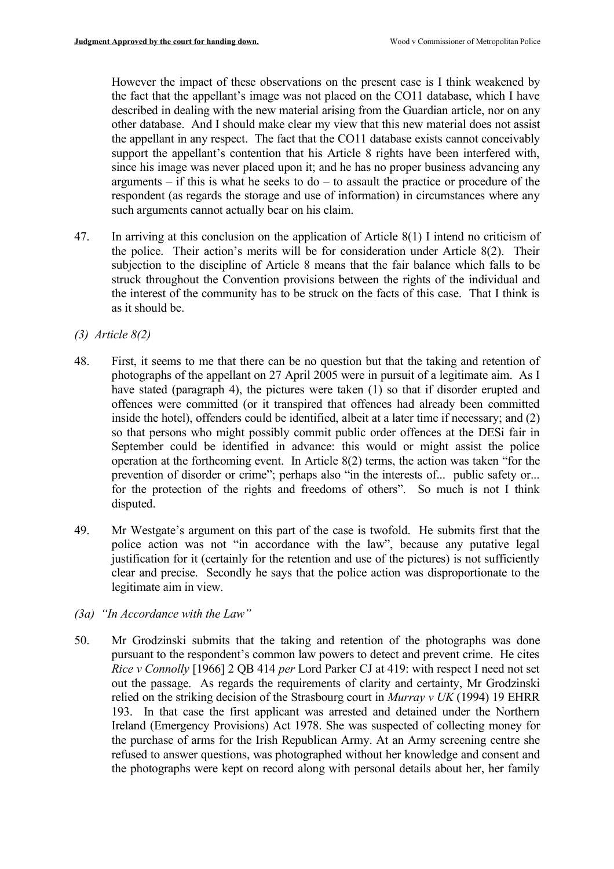However the impact of these observations on the present case is I think weakened by the fact that the appellant's image was not placed on the CO11 database, which I have described in dealing with the new material arising from the Guardian article, nor on any other database. And I should make clear my view that this new material does not assist the appellant in any respect. The fact that the CO11 database exists cannot conceivably support the appellant's contention that his Article 8 rights have been interfered with, since his image was never placed upon it; and he has no proper business advancing any arguments – if this is what he seeks to  $do - to$  assault the practice or procedure of the respondent (as regards the storage and use of information) in circumstances where any such arguments cannot actually bear on his claim.

47. In arriving at this conclusion on the application of Article 8(1) I intend no criticism of the police. Their action's merits will be for consideration under Article 8(2). Their subjection to the discipline of Article 8 means that the fair balance which falls to be struck throughout the Convention provisions between the rights of the individual and the interest of the community has to be struck on the facts of this case. That I think is as it should be.

# *(3) Article 8(2)*

- 48. First, it seems to me that there can be no question but that the taking and retention of photographs of the appellant on 27 April 2005 were in pursuit of a legitimate aim. As I have stated (paragraph 4), the pictures were taken (1) so that if disorder erupted and offences were committed (or it transpired that offences had already been committed inside the hotel), offenders could be identified, albeit at a later time if necessary; and (2) so that persons who might possibly commit public order offences at the DESi fair in September could be identified in advance: this would or might assist the police operation at the forthcoming event. In Article 8(2) terms, the action was taken "for the prevention of disorder or crime"; perhaps also "in the interests of... public safety or... for the protection of the rights and freedoms of others". So much is not I think disputed.
- 49. Mr Westgate's argument on this part of the case is twofold. He submits first that the police action was not "in accordance with the law", because any putative legal justification for it (certainly for the retention and use of the pictures) is not sufficiently clear and precise. Secondly he says that the police action was disproportionate to the legitimate aim in view.

# *(3a) "In Accordance with the Law"*

50. Mr Grodzinski submits that the taking and retention of the photographs was done pursuant to the respondent's common law powers to detect and prevent crime. He cites *Rice v Connolly* [1966] 2 QB 414 *per* Lord Parker CJ at 419: with respect I need not set out the passage. As regards the requirements of clarity and certainty, Mr Grodzinski relied on the striking decision of the Strasbourg court in *Murray v UK* (1994) 19 EHRR 193. In that case the first applicant was arrested and detained under the Northern Ireland (Emergency Provisions) Act 1978. She was suspected of collecting money for the purchase of arms for the Irish Republican Army. At an Army screening centre she refused to answer questions, was photographed without her knowledge and consent and the photographs were kept on record along with personal details about her, her family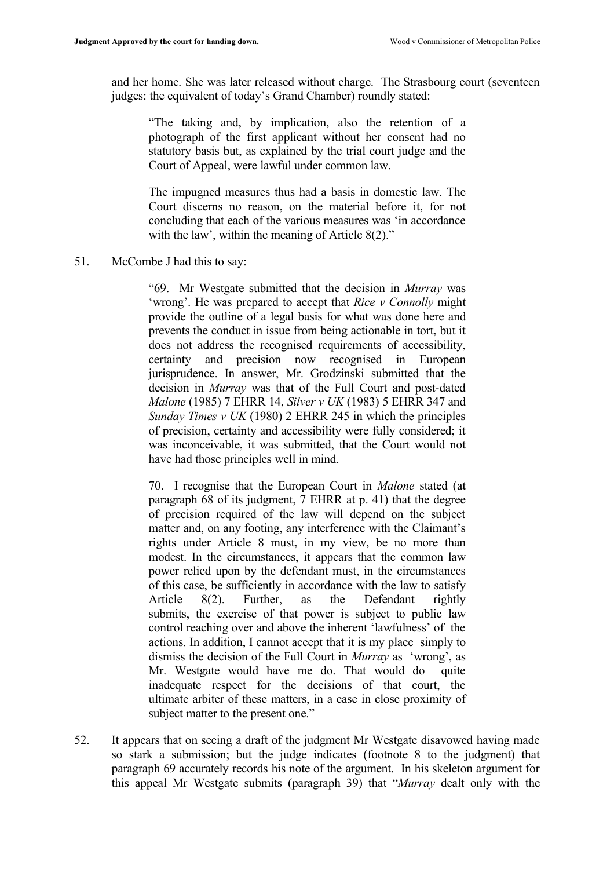and her home. She was later released without charge. The Strasbourg court (seventeen judges: the equivalent of today's Grand Chamber) roundly stated:

"The taking and, by implication, also the retention of a photograph of the first applicant without her consent had no statutory basis but, as explained by the trial court judge and the Court of Appeal, were lawful under common law.

The impugned measures thus had a basis in domestic law. The Court discerns no reason, on the material before it, for not concluding that each of the various measures was 'in accordance with the law', within the meaning of Article 8(2)."

51. McCombe J had this to say:

"69. Mr Westgate submitted that the decision in *Murray* was 'wrong'. He was prepared to accept that *Rice v Connolly* might provide the outline of a legal basis for what was done here and prevents the conduct in issue from being actionable in tort, but it does not address the recognised requirements of accessibility, certainty and precision now recognised in European jurisprudence. In answer, Mr. Grodzinski submitted that the decision in *Murray* was that of the Full Court and post-dated *Malone* (1985) 7 EHRR 14, *Silver v UK* (1983) 5 EHRR 347 and *Sunday Times v UK* (1980) 2 EHRR 245 in which the principles of precision, certainty and accessibility were fully considered; it was inconceivable, it was submitted, that the Court would not have had those principles well in mind.

70. I recognise that the European Court in *Malone* stated (at paragraph 68 of its judgment, 7 EHRR at p. 41) that the degree of precision required of the law will depend on the subject matter and, on any footing, any interference with the Claimant's rights under Article 8 must, in my view, be no more than modest. In the circumstances, it appears that the common law power relied upon by the defendant must, in the circumstances of this case, be sufficiently in accordance with the law to satisfy Article 8(2). Further, as the Defendant rightly submits, the exercise of that power is subject to public law control reaching over and above the inherent 'lawfulness' of the actions. In addition, I cannot accept that it is my place simply to dismiss the decision of the Full Court in *Murray* as 'wrong', as Mr. Westgate would have me do. That would do quite inadequate respect for the decisions of that court, the ultimate arbiter of these matters, in a case in close proximity of subject matter to the present one."

52. It appears that on seeing a draft of the judgment Mr Westgate disavowed having made so stark a submission; but the judge indicates (footnote 8 to the judgment) that paragraph 69 accurately records his note of the argument. In his skeleton argument for this appeal Mr Westgate submits (paragraph 39) that "*Murray* dealt only with the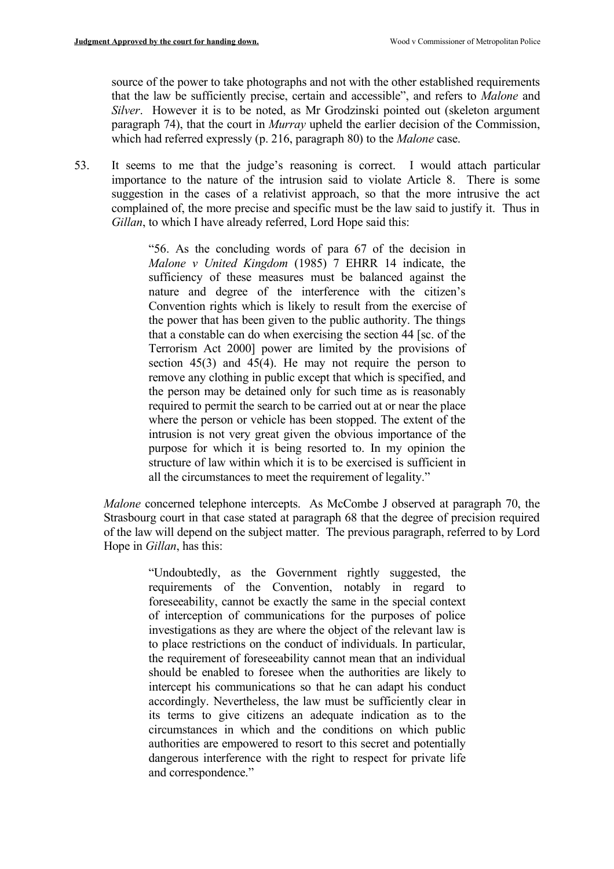source of the power to take photographs and not with the other established requirements that the law be sufficiently precise, certain and accessible", and refers to *Malone* and *Silver*. However it is to be noted, as Mr Grodzinski pointed out (skeleton argument paragraph 74), that the court in *Murray* upheld the earlier decision of the Commission, which had referred expressly (p. 216, paragraph 80) to the *Malone* case.

53. It seems to me that the judge's reasoning is correct. I would attach particular importance to the nature of the intrusion said to violate Article 8. There is some suggestion in the cases of a relativist approach, so that the more intrusive the act complained of, the more precise and specific must be the law said to justify it. Thus in *Gillan*, to which I have already referred, Lord Hope said this:

> "56. As the concluding words of para 67 of the decision in *Malone v United Kingdom* (1985) 7 EHRR 14 indicate, the sufficiency of these measures must be balanced against the nature and degree of the interference with the citizen's Convention rights which is likely to result from the exercise of the power that has been given to the public authority. The things that a constable can do when exercising the section 44 [sc. of the Terrorism Act 2000] power are limited by the provisions of section  $45(3)$  and  $45(4)$ . He may not require the person to remove any clothing in public except that which is specified, and the person may be detained only for such time as is reasonably required to permit the search to be carried out at or near the place where the person or vehicle has been stopped. The extent of the intrusion is not very great given the obvious importance of the purpose for which it is being resorted to. In my opinion the structure of law within which it is to be exercised is sufficient in all the circumstances to meet the requirement of legality."

*Malone* concerned telephone intercepts. As McCombe J observed at paragraph 70, the Strasbourg court in that case stated at paragraph 68 that the degree of precision required of the law will depend on the subject matter. The previous paragraph, referred to by Lord Hope in *Gillan*, has this:

> "Undoubtedly, as the Government rightly suggested, the requirements of the Convention, notably in regard to foreseeability, cannot be exactly the same in the special context of interception of communications for the purposes of police investigations as they are where the object of the relevant law is to place restrictions on the conduct of individuals. In particular, the requirement of foreseeability cannot mean that an individual should be enabled to foresee when the authorities are likely to intercept his communications so that he can adapt his conduct accordingly. Nevertheless, the law must be sufficiently clear in its terms to give citizens an adequate indication as to the circumstances in which and the conditions on which public authorities are empowered to resort to this secret and potentially dangerous interference with the right to respect for private life and correspondence."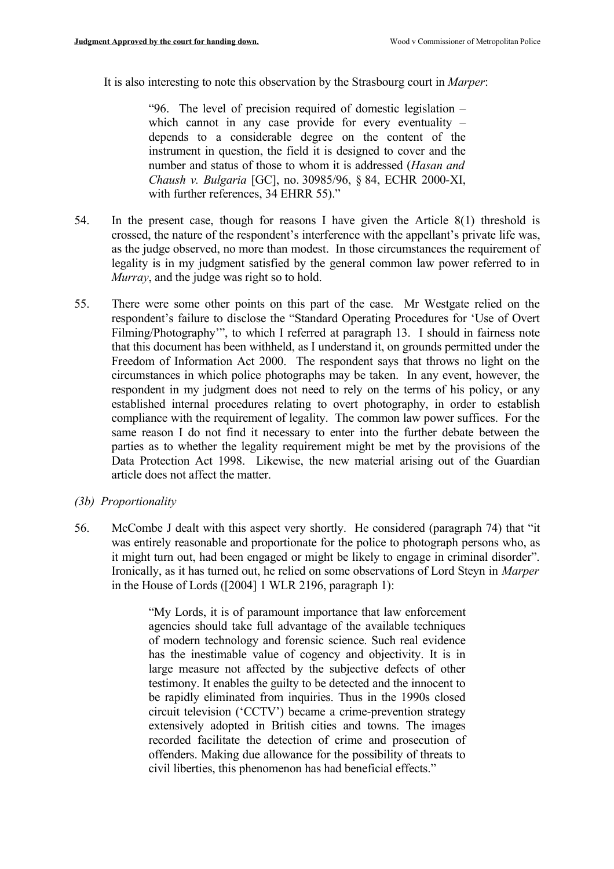It is also interesting to note this observation by the Strasbourg court in *Marper*:

"96. The level of precision required of domestic legislation – which cannot in any case provide for every eventuality – depends to a considerable degree on the content of the instrument in question, the field it is designed to cover and the number and status of those to whom it is addressed (*Hasan and Chaush v. Bulgaria* [GC], no. 30985/96, § 84, ECHR 2000-XI, with further references, 34 EHRR 55)."

- 54. In the present case, though for reasons I have given the Article 8(1) threshold is crossed, the nature of the respondent's interference with the appellant's private life was, as the judge observed, no more than modest. In those circumstances the requirement of legality is in my judgment satisfied by the general common law power referred to in *Murray*, and the judge was right so to hold.
- 55. There were some other points on this part of the case. Mr Westgate relied on the respondent's failure to disclose the "Standard Operating Procedures for 'Use of Overt Filming/Photography'", to which I referred at paragraph 13. I should in fairness note that this document has been withheld, as I understand it, on grounds permitted under the Freedom of Information Act 2000. The respondent says that throws no light on the circumstances in which police photographs may be taken. In any event, however, the respondent in my judgment does not need to rely on the terms of his policy, or any established internal procedures relating to overt photography, in order to establish compliance with the requirement of legality. The common law power suffices. For the same reason I do not find it necessary to enter into the further debate between the parties as to whether the legality requirement might be met by the provisions of the Data Protection Act 1998. Likewise, the new material arising out of the Guardian article does not affect the matter.

# *(3b) Proportionality*

56. McCombe J dealt with this aspect very shortly. He considered (paragraph 74) that "it was entirely reasonable and proportionate for the police to photograph persons who, as it might turn out, had been engaged or might be likely to engage in criminal disorder". Ironically, as it has turned out, he relied on some observations of Lord Steyn in *Marper* in the House of Lords ([2004] 1 WLR 2196, paragraph 1):

> "My Lords, it is of paramount importance that law enforcement agencies should take full advantage of the available techniques of modern technology and forensic science. Such real evidence has the inestimable value of cogency and objectivity. It is in large measure not affected by the subjective defects of other testimony. It enables the guilty to be detected and the innocent to be rapidly eliminated from inquiries. Thus in the 1990s closed circuit television ('CCTV') became a crime-prevention strategy extensively adopted in British cities and towns. The images recorded facilitate the detection of crime and prosecution of offenders. Making due allowance for the possibility of threats to civil liberties, this phenomenon has had beneficial effects."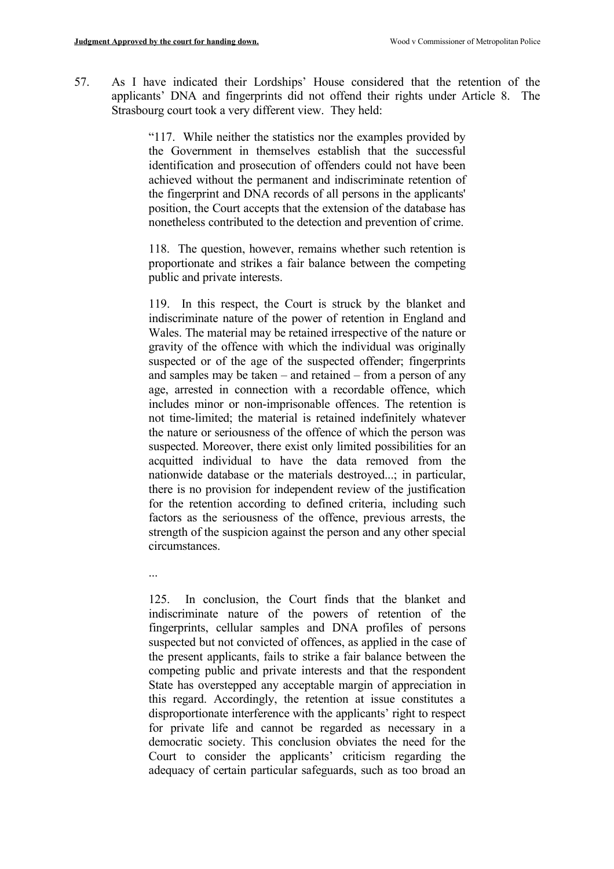57. As I have indicated their Lordships' House considered that the retention of the applicants' DNA and fingerprints did not offend their rights under Article 8. The Strasbourg court took a very different view. They held:

> "117. While neither the statistics nor the examples provided by the Government in themselves establish that the successful identification and prosecution of offenders could not have been achieved without the permanent and indiscriminate retention of the fingerprint and DNA records of all persons in the applicants' position, the Court accepts that the extension of the database has nonetheless contributed to the detection and prevention of crime.

> 118. The question, however, remains whether such retention is proportionate and strikes a fair balance between the competing public and private interests.

> 119. In this respect, the Court is struck by the blanket and indiscriminate nature of the power of retention in England and Wales. The material may be retained irrespective of the nature or gravity of the offence with which the individual was originally suspected or of the age of the suspected offender; fingerprints and samples may be taken – and retained – from a person of any age, arrested in connection with a recordable offence, which includes minor or non-imprisonable offences. The retention is not time-limited; the material is retained indefinitely whatever the nature or seriousness of the offence of which the person was suspected. Moreover, there exist only limited possibilities for an acquitted individual to have the data removed from the nationwide database or the materials destroyed...; in particular, there is no provision for independent review of the justification for the retention according to defined criteria, including such factors as the seriousness of the offence, previous arrests, the strength of the suspicion against the person and any other special circumstances.

...

125. In conclusion, the Court finds that the blanket and indiscriminate nature of the powers of retention of the fingerprints, cellular samples and DNA profiles of persons suspected but not convicted of offences, as applied in the case of the present applicants, fails to strike a fair balance between the competing public and private interests and that the respondent State has overstepped any acceptable margin of appreciation in this regard. Accordingly, the retention at issue constitutes a disproportionate interference with the applicants' right to respect for private life and cannot be regarded as necessary in a democratic society. This conclusion obviates the need for the Court to consider the applicants' criticism regarding the adequacy of certain particular safeguards, such as too broad an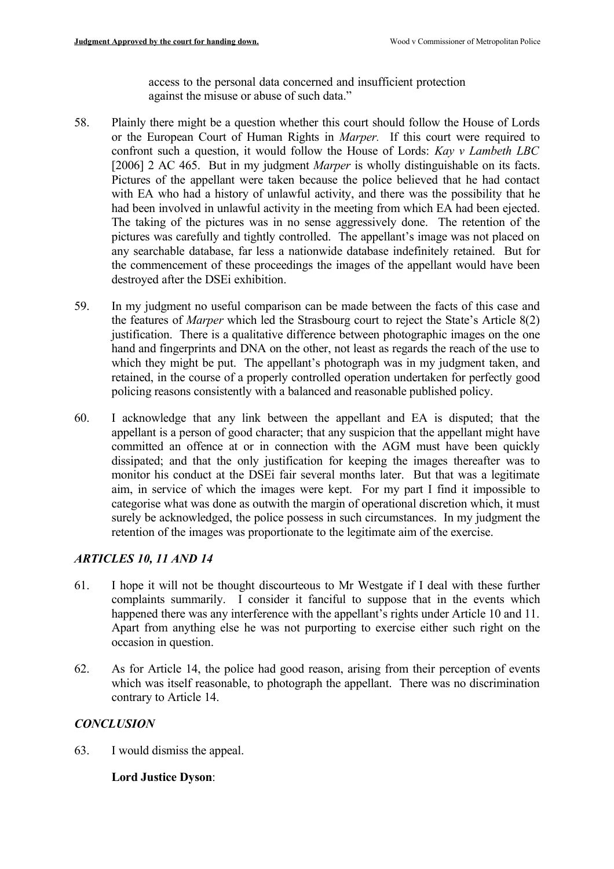access to the personal data concerned and insufficient protection against the misuse or abuse of such data."

- 58. Plainly there might be a question whether this court should follow the House of Lords or the European Court of Human Rights in *Marper.* If this court were required to confront such a question, it would follow the House of Lords: *Kay v Lambeth LBC* [2006] 2 AC 465. But in my judgment *Marper* is wholly distinguishable on its facts. Pictures of the appellant were taken because the police believed that he had contact with EA who had a history of unlawful activity, and there was the possibility that he had been involved in unlawful activity in the meeting from which EA had been ejected. The taking of the pictures was in no sense aggressively done. The retention of the pictures was carefully and tightly controlled. The appellant's image was not placed on any searchable database, far less a nationwide database indefinitely retained. But for the commencement of these proceedings the images of the appellant would have been destroyed after the DSEi exhibition.
- 59. In my judgment no useful comparison can be made between the facts of this case and the features of *Marper* which led the Strasbourg court to reject the State's Article 8(2) justification. There is a qualitative difference between photographic images on the one hand and fingerprints and DNA on the other, not least as regards the reach of the use to which they might be put. The appellant's photograph was in my judgment taken, and retained, in the course of a properly controlled operation undertaken for perfectly good policing reasons consistently with a balanced and reasonable published policy.
- 60. I acknowledge that any link between the appellant and EA is disputed; that the appellant is a person of good character; that any suspicion that the appellant might have committed an offence at or in connection with the AGM must have been quickly dissipated; and that the only justification for keeping the images thereafter was to monitor his conduct at the DSEi fair several months later. But that was a legitimate aim, in service of which the images were kept. For my part I find it impossible to categorise what was done as outwith the margin of operational discretion which, it must surely be acknowledged, the police possess in such circumstances. In my judgment the retention of the images was proportionate to the legitimate aim of the exercise.

# *ARTICLES 10, 11 AND 14*

- 61. I hope it will not be thought discourteous to Mr Westgate if I deal with these further complaints summarily. I consider it fanciful to suppose that in the events which happened there was any interference with the appellant's rights under Article 10 and 11. Apart from anything else he was not purporting to exercise either such right on the occasion in question.
- 62. As for Article 14, the police had good reason, arising from their perception of events which was itself reasonable, to photograph the appellant. There was no discrimination contrary to Article 14.

# *CONCLUSION*

63. I would dismiss the appeal.

# **Lord Justice Dyson**: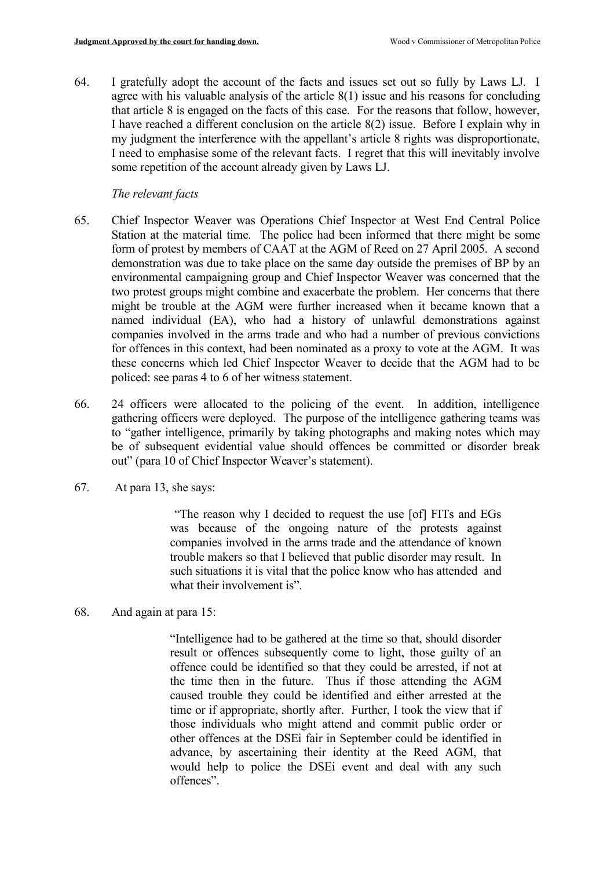64. I gratefully adopt the account of the facts and issues set out so fully by Laws LJ. I agree with his valuable analysis of the article  $8(1)$  issue and his reasons for concluding that article 8 is engaged on the facts of this case. For the reasons that follow, however, I have reached a different conclusion on the article 8(2) issue. Before I explain why in my judgment the interference with the appellant's article 8 rights was disproportionate, I need to emphasise some of the relevant facts. I regret that this will inevitably involve some repetition of the account already given by Laws LJ.

#### *The relevant facts*

- 65. Chief Inspector Weaver was Operations Chief Inspector at West End Central Police Station at the material time. The police had been informed that there might be some form of protest by members of CAAT at the AGM of Reed on 27 April 2005. A second demonstration was due to take place on the same day outside the premises of BP by an environmental campaigning group and Chief Inspector Weaver was concerned that the two protest groups might combine and exacerbate the problem. Her concerns that there might be trouble at the AGM were further increased when it became known that a named individual (EA), who had a history of unlawful demonstrations against companies involved in the arms trade and who had a number of previous convictions for offences in this context, had been nominated as a proxy to vote at the AGM. It was these concerns which led Chief Inspector Weaver to decide that the AGM had to be policed: see paras 4 to 6 of her witness statement.
- 66. 24 officers were allocated to the policing of the event. In addition, intelligence gathering officers were deployed. The purpose of the intelligence gathering teams was to "gather intelligence, primarily by taking photographs and making notes which may be of subsequent evidential value should offences be committed or disorder break out" (para 10 of Chief Inspector Weaver's statement).
- 67. At para 13, she says:

 "The reason why I decided to request the use [of] FITs and EGs was because of the ongoing nature of the protests against companies involved in the arms trade and the attendance of known trouble makers so that I believed that public disorder may result. In such situations it is vital that the police know who has attended and what their involvement is".

68. And again at para 15:

"Intelligence had to be gathered at the time so that, should disorder result or offences subsequently come to light, those guilty of an offence could be identified so that they could be arrested, if not at the time then in the future. Thus if those attending the AGM caused trouble they could be identified and either arrested at the time or if appropriate, shortly after. Further, I took the view that if those individuals who might attend and commit public order or other offences at the DSEi fair in September could be identified in advance, by ascertaining their identity at the Reed AGM, that would help to police the DSEi event and deal with any such offences".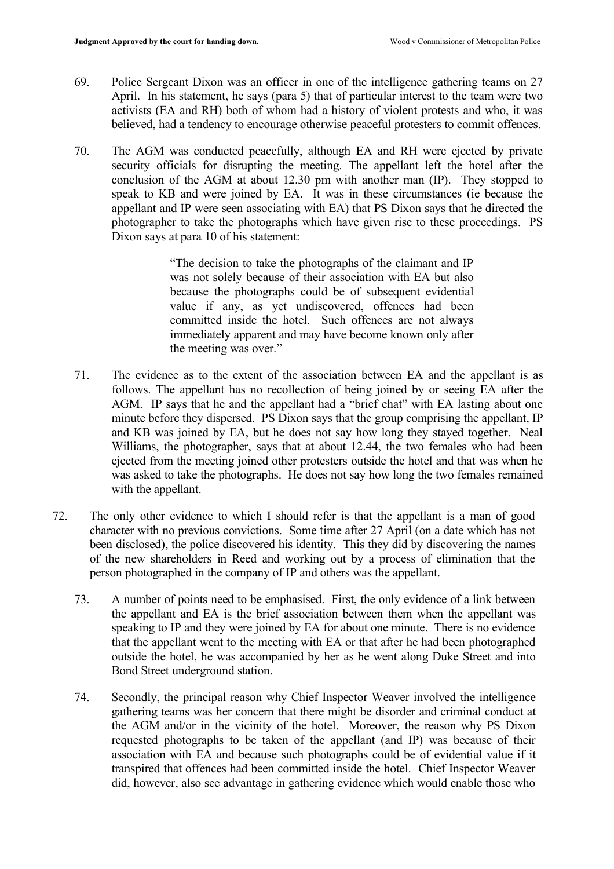- 69. Police Sergeant Dixon was an officer in one of the intelligence gathering teams on 27 April. In his statement, he says (para 5) that of particular interest to the team were two activists (EA and RH) both of whom had a history of violent protests and who, it was believed, had a tendency to encourage otherwise peaceful protesters to commit offences.
- 70. The AGM was conducted peacefully, although EA and RH were ejected by private security officials for disrupting the meeting. The appellant left the hotel after the conclusion of the AGM at about 12.30 pm with another man (IP). They stopped to speak to KB and were joined by EA. It was in these circumstances (ie because the appellant and IP were seen associating with EA) that PS Dixon says that he directed the photographer to take the photographs which have given rise to these proceedings. PS Dixon says at para 10 of his statement:

"The decision to take the photographs of the claimant and IP was not solely because of their association with EA but also because the photographs could be of subsequent evidential value if any, as yet undiscovered, offences had been committed inside the hotel. Such offences are not always immediately apparent and may have become known only after the meeting was over."

- 71. The evidence as to the extent of the association between EA and the appellant is as follows. The appellant has no recollection of being joined by or seeing EA after the AGM. IP says that he and the appellant had a "brief chat" with EA lasting about one minute before they dispersed. PS Dixon says that the group comprising the appellant, IP and KB was joined by EA, but he does not say how long they stayed together. Neal Williams, the photographer, says that at about 12.44, the two females who had been ejected from the meeting joined other protesters outside the hotel and that was when he was asked to take the photographs. He does not say how long the two females remained with the appellant.
- 72. The only other evidence to which I should refer is that the appellant is a man of good character with no previous convictions. Some time after 27 April (on a date which has not been disclosed), the police discovered his identity. This they did by discovering the names of the new shareholders in Reed and working out by a process of elimination that the person photographed in the company of IP and others was the appellant.
	- 73. A number of points need to be emphasised. First, the only evidence of a link between the appellant and EA is the brief association between them when the appellant was speaking to IP and they were joined by EA for about one minute. There is no evidence that the appellant went to the meeting with EA or that after he had been photographed outside the hotel, he was accompanied by her as he went along Duke Street and into Bond Street underground station.
	- 74. Secondly, the principal reason why Chief Inspector Weaver involved the intelligence gathering teams was her concern that there might be disorder and criminal conduct at the AGM and/or in the vicinity of the hotel. Moreover, the reason why PS Dixon requested photographs to be taken of the appellant (and IP) was because of their association with EA and because such photographs could be of evidential value if it transpired that offences had been committed inside the hotel. Chief Inspector Weaver did, however, also see advantage in gathering evidence which would enable those who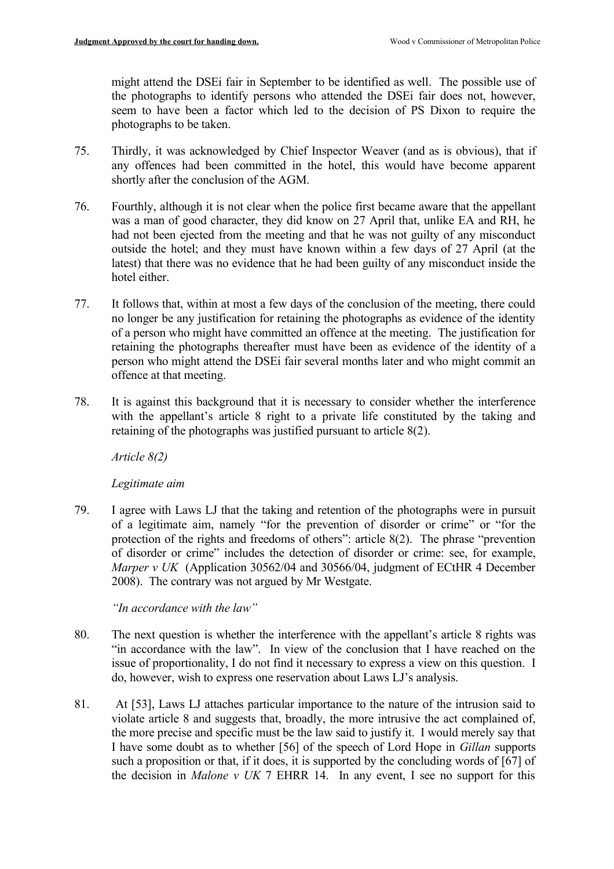might attend the DSEi fair in September to be identified as well. The possible use of the photographs to identify persons who attended the DSEi fair does not, however, seem to have been a factor which led to the decision of PS Dixon to require the photographs to be taken.

- 75. Thirdly, it was acknowledged by Chief Inspector Weaver (and as is obvious), that if any offences had been committed in the hotel, this would have become apparent shortly after the conclusion of the AGM.
- 76. Fourthly, although it is not clear when the police first became aware that the appellant was a man of good character, they did know on 27 April that, unlike EA and RH, he had not been ejected from the meeting and that he was not guilty of any misconduct outside the hotel; and they must have known within a few days of 27 April (at the latest) that there was no evidence that he had been guilty of any misconduct inside the hotel either.
- 77. It follows that, within at most a few days of the conclusion of the meeting, there could no longer be any justification for retaining the photographs as evidence of the identity of a person who might have committed an offence at the meeting. The justification for retaining the photographs thereafter must have been as evidence of the identity of a person who might attend the DSEi fair several months later and who might commit an offence at that meeting.
- 78. It is against this background that it is necessary to consider whether the interference with the appellant's article 8 right to a private life constituted by the taking and retaining of the photographs was justified pursuant to article 8(2).

*Article 8(2)*

# *Legitimate aim*

79. I agree with Laws LJ that the taking and retention of the photographs were in pursuit of a legitimate aim, namely "for the prevention of disorder or crime" or "for the protection of the rights and freedoms of others": article 8(2). The phrase "prevention of disorder or crime" includes the detection of disorder or crime: see, for example, *Marper v UK* (Application 30562/04 and 30566/04, judgment of ECtHR 4 December 2008). The contrary was not argued by Mr Westgate.

*"In accordance with the law"*

- 80. The next question is whether the interference with the appellant's article 8 rights was "in accordance with the law". In view of the conclusion that I have reached on the issue of proportionality, I do not find it necessary to express a view on this question. I do, however, wish to express one reservation about Laws LJ's analysis.
- 81. At [53], Laws LJ attaches particular importance to the nature of the intrusion said to violate article 8 and suggests that, broadly, the more intrusive the act complained of, the more precise and specific must be the law said to justify it. I would merely say that I have some doubt as to whether [56] of the speech of Lord Hope in *Gillan* supports such a proposition or that, if it does, it is supported by the concluding words of [67] of the decision in *Malone v UK* 7 EHRR 14. In any event, I see no support for this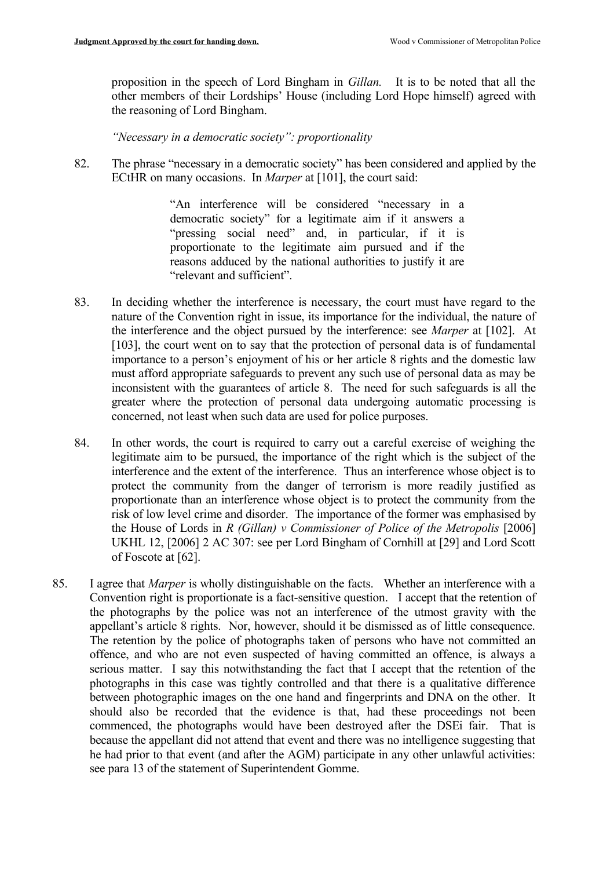proposition in the speech of Lord Bingham in *Gillan.* It is to be noted that all the other members of their Lordships' House (including Lord Hope himself) agreed with the reasoning of Lord Bingham.

*"Necessary in a democratic society": proportionality*

82. The phrase "necessary in a democratic society" has been considered and applied by the ECtHR on many occasions. In *Marper* at [101], the court said:

> "An interference will be considered "necessary in a democratic society" for a legitimate aim if it answers a "pressing social need" and, in particular, if it is proportionate to the legitimate aim pursued and if the reasons adduced by the national authorities to justify it are "relevant and sufficient".

- 83. In deciding whether the interference is necessary, the court must have regard to the nature of the Convention right in issue, its importance for the individual, the nature of the interference and the object pursued by the interference: see *Marper* at [102]. At [103], the court went on to say that the protection of personal data is of fundamental importance to a person's enjoyment of his or her article 8 rights and the domestic law must afford appropriate safeguards to prevent any such use of personal data as may be inconsistent with the guarantees of article 8. The need for such safeguards is all the greater where the protection of personal data undergoing automatic processing is concerned, not least when such data are used for police purposes.
- 84. In other words, the court is required to carry out a careful exercise of weighing the legitimate aim to be pursued, the importance of the right which is the subject of the interference and the extent of the interference. Thus an interference whose object is to protect the community from the danger of terrorism is more readily justified as proportionate than an interference whose object is to protect the community from the risk of low level crime and disorder. The importance of the former was emphasised by the House of Lords in *R (Gillan) v Commissioner of Police of the Metropolis* [2006] UKHL 12, [2006] 2 AC 307: see per Lord Bingham of Cornhill at [29] and Lord Scott of Foscote at [62].
- 85. I agree that *Marper* is wholly distinguishable on the facts. Whether an interference with a Convention right is proportionate is a fact-sensitive question. I accept that the retention of the photographs by the police was not an interference of the utmost gravity with the appellant's article 8 rights. Nor, however, should it be dismissed as of little consequence. The retention by the police of photographs taken of persons who have not committed an offence, and who are not even suspected of having committed an offence, is always a serious matter. I say this notwithstanding the fact that I accept that the retention of the photographs in this case was tightly controlled and that there is a qualitative difference between photographic images on the one hand and fingerprints and DNA on the other. It should also be recorded that the evidence is that, had these proceedings not been commenced, the photographs would have been destroyed after the DSEi fair. That is because the appellant did not attend that event and there was no intelligence suggesting that he had prior to that event (and after the AGM) participate in any other unlawful activities: see para 13 of the statement of Superintendent Gomme.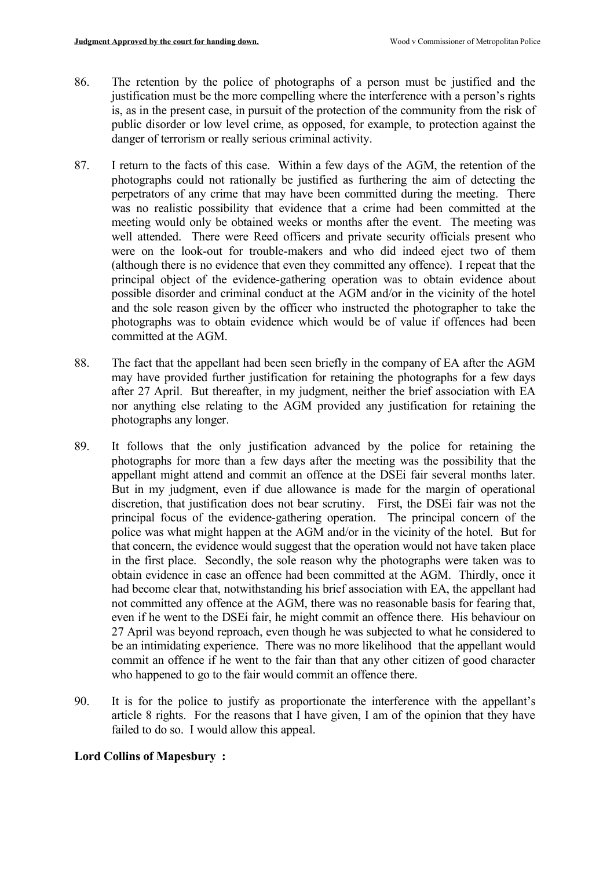- 86. The retention by the police of photographs of a person must be justified and the justification must be the more compelling where the interference with a person's rights is, as in the present case, in pursuit of the protection of the community from the risk of public disorder or low level crime, as opposed, for example, to protection against the danger of terrorism or really serious criminal activity.
- 87. I return to the facts of this case. Within a few days of the AGM, the retention of the photographs could not rationally be justified as furthering the aim of detecting the perpetrators of any crime that may have been committed during the meeting. There was no realistic possibility that evidence that a crime had been committed at the meeting would only be obtained weeks or months after the event. The meeting was well attended. There were Reed officers and private security officials present who were on the look-out for trouble-makers and who did indeed eject two of them (although there is no evidence that even they committed any offence). I repeat that the principal object of the evidence-gathering operation was to obtain evidence about possible disorder and criminal conduct at the AGM and/or in the vicinity of the hotel and the sole reason given by the officer who instructed the photographer to take the photographs was to obtain evidence which would be of value if offences had been committed at the AGM.
- 88. The fact that the appellant had been seen briefly in the company of EA after the AGM may have provided further justification for retaining the photographs for a few days after 27 April. But thereafter, in my judgment, neither the brief association with EA nor anything else relating to the AGM provided any justification for retaining the photographs any longer.
- 89. It follows that the only justification advanced by the police for retaining the photographs for more than a few days after the meeting was the possibility that the appellant might attend and commit an offence at the DSEi fair several months later. But in my judgment, even if due allowance is made for the margin of operational discretion, that justification does not bear scrutiny. First, the DSEi fair was not the principal focus of the evidence-gathering operation. The principal concern of the police was what might happen at the AGM and/or in the vicinity of the hotel. But for that concern, the evidence would suggest that the operation would not have taken place in the first place. Secondly, the sole reason why the photographs were taken was to obtain evidence in case an offence had been committed at the AGM. Thirdly, once it had become clear that, notwithstanding his brief association with EA, the appellant had not committed any offence at the AGM, there was no reasonable basis for fearing that, even if he went to the DSEi fair, he might commit an offence there. His behaviour on 27 April was beyond reproach, even though he was subjected to what he considered to be an intimidating experience. There was no more likelihood that the appellant would commit an offence if he went to the fair than that any other citizen of good character who happened to go to the fair would commit an offence there.
- 90. It is for the police to justify as proportionate the interference with the appellant's article 8 rights. For the reasons that I have given, I am of the opinion that they have failed to do so. I would allow this appeal.

### **Lord Collins of Mapesbury :**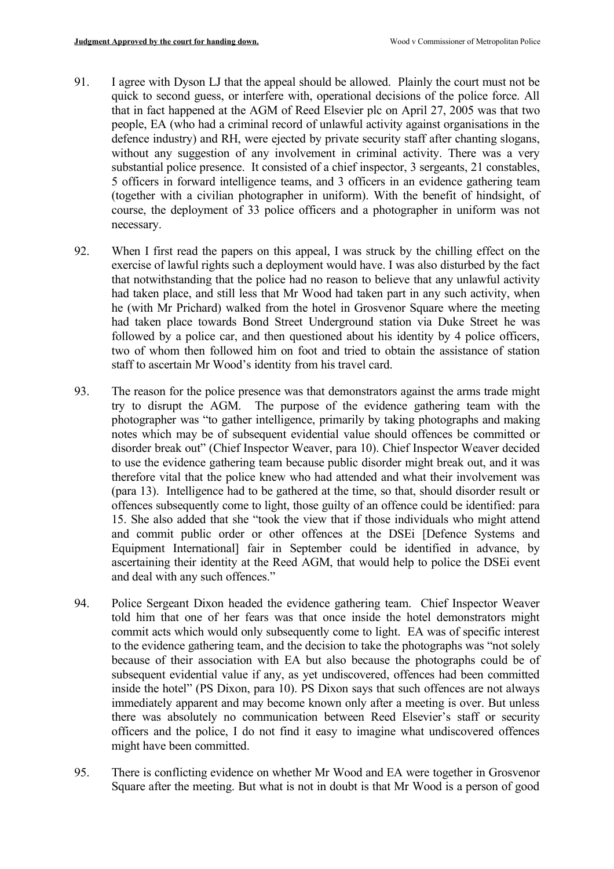- 91. I agree with Dyson LJ that the appeal should be allowed. Plainly the court must not be quick to second guess, or interfere with, operational decisions of the police force. All that in fact happened at the AGM of Reed Elsevier plc on April 27, 2005 was that two people, EA (who had a criminal record of unlawful activity against organisations in the defence industry) and RH, were ejected by private security staff after chanting slogans, without any suggestion of any involvement in criminal activity. There was a very substantial police presence. It consisted of a chief inspector, 3 sergeants, 21 constables, 5 officers in forward intelligence teams, and 3 officers in an evidence gathering team (together with a civilian photographer in uniform). With the benefit of hindsight, of course, the deployment of 33 police officers and a photographer in uniform was not necessary.
- 92. When I first read the papers on this appeal, I was struck by the chilling effect on the exercise of lawful rights such a deployment would have. I was also disturbed by the fact that notwithstanding that the police had no reason to believe that any unlawful activity had taken place, and still less that Mr Wood had taken part in any such activity, when he (with Mr Prichard) walked from the hotel in Grosvenor Square where the meeting had taken place towards Bond Street Underground station via Duke Street he was followed by a police car, and then questioned about his identity by 4 police officers, two of whom then followed him on foot and tried to obtain the assistance of station staff to ascertain Mr Wood's identity from his travel card.
- 93. The reason for the police presence was that demonstrators against the arms trade might try to disrupt the AGM. The purpose of the evidence gathering team with the photographer was "to gather intelligence, primarily by taking photographs and making notes which may be of subsequent evidential value should offences be committed or disorder break out" (Chief Inspector Weaver, para 10). Chief Inspector Weaver decided to use the evidence gathering team because public disorder might break out, and it was therefore vital that the police knew who had attended and what their involvement was (para 13). Intelligence had to be gathered at the time, so that, should disorder result or offences subsequently come to light, those guilty of an offence could be identified: para 15. She also added that she "took the view that if those individuals who might attend and commit public order or other offences at the DSEi [Defence Systems and Equipment International] fair in September could be identified in advance, by ascertaining their identity at the Reed AGM, that would help to police the DSEi event and deal with any such offences."
- 94. Police Sergeant Dixon headed the evidence gathering team. Chief Inspector Weaver told him that one of her fears was that once inside the hotel demonstrators might commit acts which would only subsequently come to light. EA was of specific interest to the evidence gathering team, and the decision to take the photographs was "not solely because of their association with EA but also because the photographs could be of subsequent evidential value if any, as yet undiscovered, offences had been committed inside the hotel" (PS Dixon, para 10). PS Dixon says that such offences are not always immediately apparent and may become known only after a meeting is over. But unless there was absolutely no communication between Reed Elsevier's staff or security officers and the police, I do not find it easy to imagine what undiscovered offences might have been committed.
- 95. There is conflicting evidence on whether Mr Wood and EA were together in Grosvenor Square after the meeting. But what is not in doubt is that Mr Wood is a person of good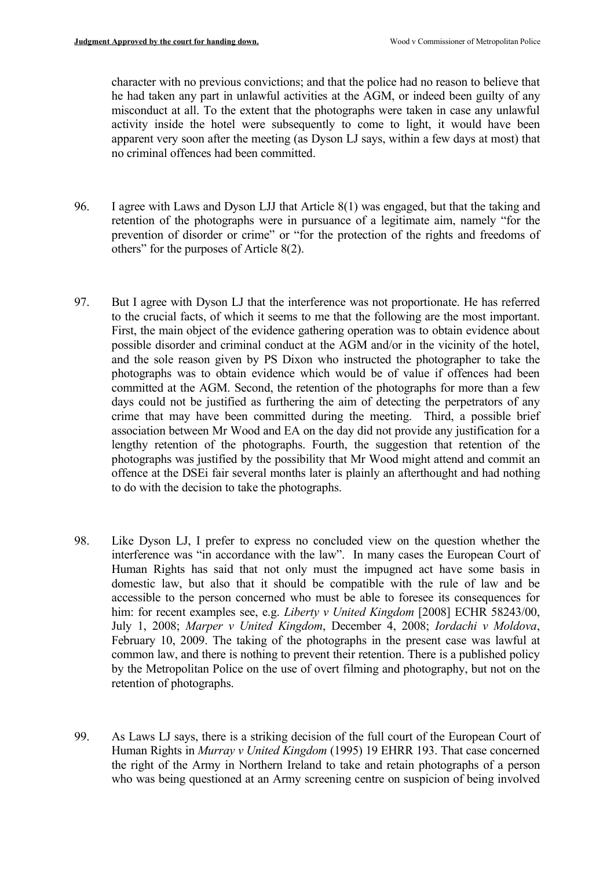character with no previous convictions; and that the police had no reason to believe that he had taken any part in unlawful activities at the AGM, or indeed been guilty of any misconduct at all. To the extent that the photographs were taken in case any unlawful activity inside the hotel were subsequently to come to light, it would have been apparent very soon after the meeting (as Dyson LJ says, within a few days at most) that no criminal offences had been committed.

- 96. I agree with Laws and Dyson LJJ that Article 8(1) was engaged, but that the taking and retention of the photographs were in pursuance of a legitimate aim, namely "for the prevention of disorder or crime" or "for the protection of the rights and freedoms of others" for the purposes of Article 8(2).
- 97. But I agree with Dyson LJ that the interference was not proportionate. He has referred to the crucial facts, of which it seems to me that the following are the most important. First, the main object of the evidence gathering operation was to obtain evidence about possible disorder and criminal conduct at the AGM and/or in the vicinity of the hotel, and the sole reason given by PS Dixon who instructed the photographer to take the photographs was to obtain evidence which would be of value if offences had been committed at the AGM. Second, the retention of the photographs for more than a few days could not be justified as furthering the aim of detecting the perpetrators of any crime that may have been committed during the meeting. Third, a possible brief association between Mr Wood and EA on the day did not provide any justification for a lengthy retention of the photographs. Fourth, the suggestion that retention of the photographs was justified by the possibility that Mr Wood might attend and commit an offence at the DSEi fair several months later is plainly an afterthought and had nothing to do with the decision to take the photographs.
- 98. Like Dyson LJ, I prefer to express no concluded view on the question whether the interference was "in accordance with the law". In many cases the European Court of Human Rights has said that not only must the impugned act have some basis in domestic law, but also that it should be compatible with the rule of law and be accessible to the person concerned who must be able to foresee its consequences for him: for recent examples see, e.g. *Liberty v United Kingdom* [2008] ECHR 58243/00, July 1, 2008; *Marper v United Kingdom*, December 4, 2008; *Iordachi v Moldova*, February 10, 2009. The taking of the photographs in the present case was lawful at common law, and there is nothing to prevent their retention. There is a published policy by the Metropolitan Police on the use of overt filming and photography, but not on the retention of photographs.
- 99. As Laws LJ says, there is a striking decision of the full court of the European Court of Human Rights in *Murray v United Kingdom* (1995) 19 EHRR 193. That case concerned the right of the Army in Northern Ireland to take and retain photographs of a person who was being questioned at an Army screening centre on suspicion of being involved